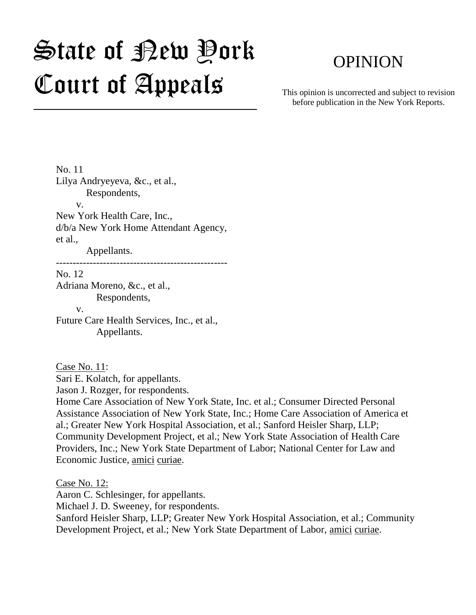# State of Rew Pork Court of Appeals

# OPINION

This opinion is uncorrected and subject to revision before publication in the New York Reports.

No. 11 Lilya Andryeyeva, &c., et al., Respondents, v. New York Health Care, Inc., d/b/a New York Home Attendant Agency, et al., Appellants.

---------------------------------------------------

No. 12 Adriana Moreno, &c., et al., Respondents,

 v. Future Care Health Services, Inc., et al., Appellants.

Case No. 11:

Sari E. Kolatch, for appellants.

Jason J. Rozger, for respondents.

Home Care Association of New York State, Inc. et al.; Consumer Directed Personal Assistance Association of New York State, Inc.; Home Care Association of America et al.; Greater New York Hospital Association, et al.; Sanford Heisler Sharp, LLP; Community Development Project, et al.; New York State Association of Health Care Providers, Inc.; New York State Department of Labor; National Center for Law and Economic Justice, amici curiae.

Case No. 12: Aaron C. Schlesinger, for appellants. Michael J. D. Sweeney, for respondents. Sanford Heisler Sharp, LLP; Greater New York Hospital Association, et al.; Community Development Project, et al.; New York State Department of Labor, amici curiae.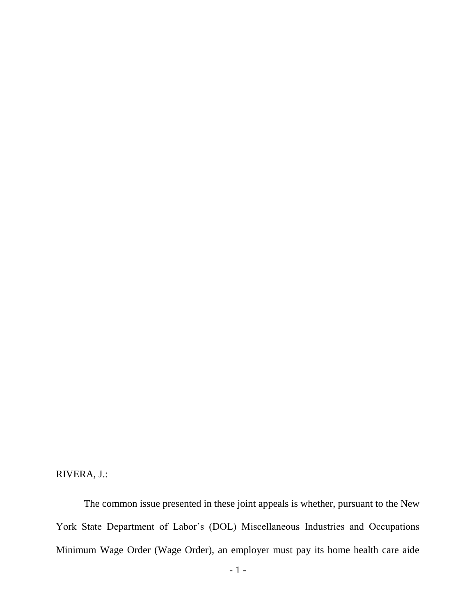RIVERA, J.:

The common issue presented in these joint appeals is whether, pursuant to the New York State Department of Labor's (DOL) Miscellaneous Industries and Occupations Minimum Wage Order (Wage Order), an employer must pay its home health care aide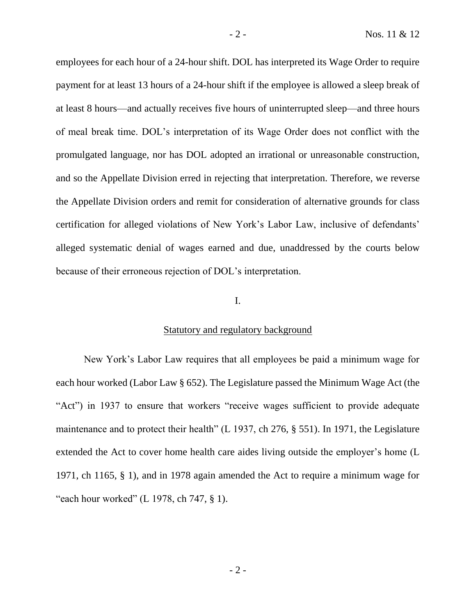employees for each hour of a 24-hour shift. DOL has interpreted its Wage Order to require payment for at least 13 hours of a 24-hour shift if the employee is allowed a sleep break of at least 8 hours—and actually receives five hours of uninterrupted sleep—and three hours of meal break time. DOL's interpretation of its Wage Order does not conflict with the promulgated language, nor has DOL adopted an irrational or unreasonable construction, and so the Appellate Division erred in rejecting that interpretation. Therefore, we reverse the Appellate Division orders and remit for consideration of alternative grounds for class certification for alleged violations of New York's Labor Law, inclusive of defendants' alleged systematic denial of wages earned and due, unaddressed by the courts below because of their erroneous rejection of DOL's interpretation.

# I.

#### Statutory and regulatory background

New York's Labor Law requires that all employees be paid a minimum wage for each hour worked (Labor Law § 652). The Legislature passed the Minimum Wage Act (the "Act") in 1937 to ensure that workers "receive wages sufficient to provide adequate maintenance and to protect their health" (L 1937, ch 276, § 551). In 1971, the Legislature extended the Act to cover home health care aides living outside the employer's home (L 1971, ch 1165, § 1), and in 1978 again amended the Act to require a minimum wage for "each hour worked" (L 1978, ch 747,  $\S$  1).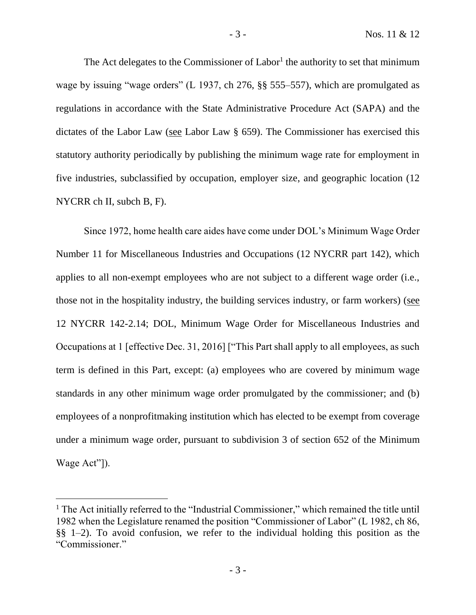The Act delegates to the Commissioner of  $Label<sup>1</sup>$  the authority to set that minimum wage by issuing "wage orders" (L 1937, ch 276, §§ 555–557), which are promulgated as regulations in accordance with the State Administrative Procedure Act (SAPA) and the dictates of the Labor Law (see Labor Law § 659). The Commissioner has exercised this statutory authority periodically by publishing the minimum wage rate for employment in five industries, subclassified by occupation, employer size, and geographic location (12 NYCRR ch II, subch B, F).

Since 1972, home health care aides have come under DOL's Minimum Wage Order Number 11 for Miscellaneous Industries and Occupations (12 NYCRR part 142), which applies to all non-exempt employees who are not subject to a different wage order (i.e., those not in the hospitality industry, the building services industry, or farm workers) (see 12 NYCRR 142-2.14; DOL, Minimum Wage Order for Miscellaneous Industries and Occupations at 1 [effective Dec. 31, 2016] ["This Part shall apply to all employees, as such term is defined in this Part, except: (a) employees who are covered by minimum wage standards in any other minimum wage order promulgated by the commissioner; and (b) employees of a nonprofitmaking institution which has elected to be exempt from coverage under a minimum wage order, pursuant to subdivision 3 of section 652 of the Minimum Wage Act"]).

<sup>&</sup>lt;sup>1</sup> The Act initially referred to the "Industrial Commissioner," which remained the title until 1982 when the Legislature renamed the position "Commissioner of Labor" (L 1982, ch 86, §§ 1–2). To avoid confusion, we refer to the individual holding this position as the "Commissioner."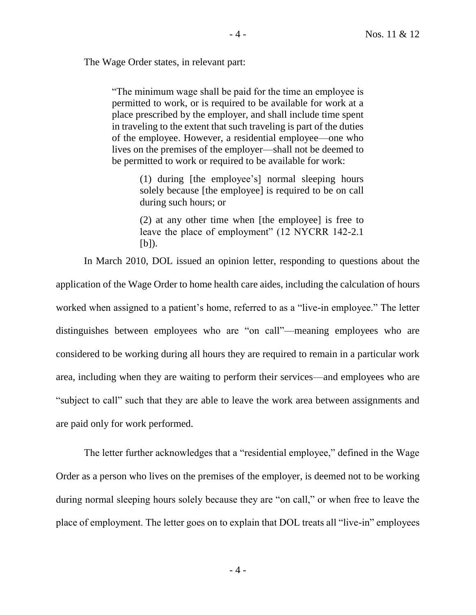The Wage Order states, in relevant part:

"The minimum wage shall be paid for the time an employee is permitted to work, or is required to be available for work at a place prescribed by the employer, and shall include time spent in traveling to the extent that such traveling is part of the duties of the employee. However, a residential employee—one who lives on the premises of the employer—shall not be deemed to be permitted to work or required to be available for work:

> (1) during [the employee's] normal sleeping hours solely because [the employee] is required to be on call during such hours; or

> (2) at any other time when [the employee] is free to leave the place of employment" (12 NYCRR 142-2.1  $[b]$ ).

In March 2010, DOL issued an opinion letter, responding to questions about the application of the Wage Order to home health care aides, including the calculation of hours worked when assigned to a patient's home, referred to as a "live-in employee." The letter distinguishes between employees who are "on call"—meaning employees who are considered to be working during all hours they are required to remain in a particular work area, including when they are waiting to perform their services—and employees who are "subject to call" such that they are able to leave the work area between assignments and are paid only for work performed.

The letter further acknowledges that a "residential employee," defined in the Wage Order as a person who lives on the premises of the employer, is deemed not to be working during normal sleeping hours solely because they are "on call," or when free to leave the place of employment. The letter goes on to explain that DOL treats all "live-in" employees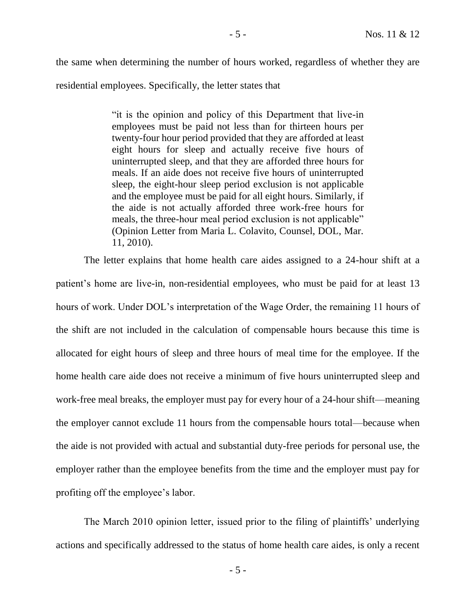the same when determining the number of hours worked, regardless of whether they are residential employees. Specifically, the letter states that

> "it is the opinion and policy of this Department that live-in employees must be paid not less than for thirteen hours per twenty-four hour period provided that they are afforded at least eight hours for sleep and actually receive five hours of uninterrupted sleep, and that they are afforded three hours for meals. If an aide does not receive five hours of uninterrupted sleep, the eight-hour sleep period exclusion is not applicable and the employee must be paid for all eight hours. Similarly, if the aide is not actually afforded three work-free hours for meals, the three-hour meal period exclusion is not applicable" (Opinion Letter from Maria L. Colavito, Counsel, DOL, Mar. 11, 2010).

The letter explains that home health care aides assigned to a 24-hour shift at a patient's home are live-in, non-residential employees, who must be paid for at least 13 hours of work. Under DOL's interpretation of the Wage Order, the remaining 11 hours of the shift are not included in the calculation of compensable hours because this time is allocated for eight hours of sleep and three hours of meal time for the employee. If the home health care aide does not receive a minimum of five hours uninterrupted sleep and work-free meal breaks, the employer must pay for every hour of a 24-hour shift—meaning the employer cannot exclude 11 hours from the compensable hours total—because when the aide is not provided with actual and substantial duty-free periods for personal use, the employer rather than the employee benefits from the time and the employer must pay for profiting off the employee's labor.

The March 2010 opinion letter, issued prior to the filing of plaintiffs' underlying actions and specifically addressed to the status of home health care aides, is only a recent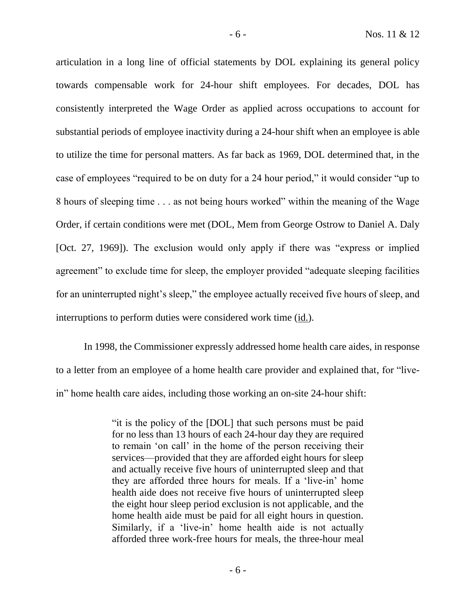articulation in a long line of official statements by DOL explaining its general policy towards compensable work for 24-hour shift employees. For decades, DOL has consistently interpreted the Wage Order as applied across occupations to account for substantial periods of employee inactivity during a 24-hour shift when an employee is able to utilize the time for personal matters. As far back as 1969, DOL determined that, in the case of employees "required to be on duty for a 24 hour period," it would consider "up to 8 hours of sleeping time . . . as not being hours worked" within the meaning of the Wage Order, if certain conditions were met (DOL, Mem from George Ostrow to Daniel A. Daly [Oct. 27, 1969]). The exclusion would only apply if there was "express or implied agreement" to exclude time for sleep, the employer provided "adequate sleeping facilities for an uninterrupted night's sleep," the employee actually received five hours of sleep, and interruptions to perform duties were considered work time (id.).

In 1998, the Commissioner expressly addressed home health care aides, in response to a letter from an employee of a home health care provider and explained that, for "livein" home health care aides, including those working an on-site 24-hour shift:

> "it is the policy of the [DOL] that such persons must be paid for no less than 13 hours of each 24-hour day they are required to remain 'on call' in the home of the person receiving their services—provided that they are afforded eight hours for sleep and actually receive five hours of uninterrupted sleep and that they are afforded three hours for meals. If a 'live-in' home health aide does not receive five hours of uninterrupted sleep the eight hour sleep period exclusion is not applicable, and the home health aide must be paid for all eight hours in question. Similarly, if a 'live-in' home health aide is not actually afforded three work-free hours for meals, the three-hour meal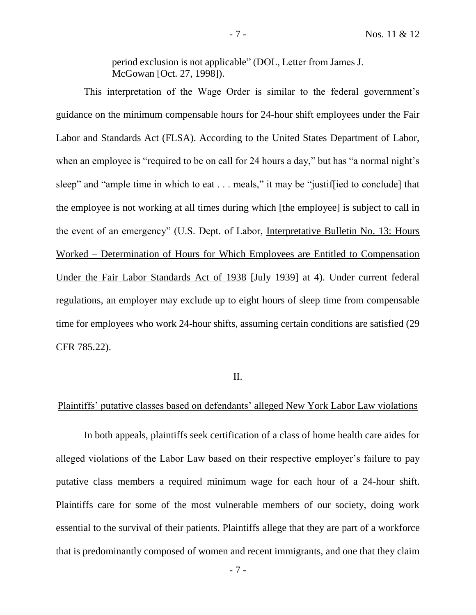period exclusion is not applicable" (DOL, Letter from James J. McGowan [Oct. 27, 1998]).

This interpretation of the Wage Order is similar to the federal government's guidance on the minimum compensable hours for 24-hour shift employees under the Fair Labor and Standards Act (FLSA). According to the United States Department of Labor, when an employee is "required to be on call for 24 hours a day," but has "a normal night's sleep" and "ample time in which to eat . . . meals," it may be "justiffied to conclude] that the employee is not working at all times during which [the employee] is subject to call in the event of an emergency" (U.S. Dept. of Labor, Interpretative Bulletin No. 13: Hours Worked – Determination of Hours for Which Employees are Entitled to Compensation Under the Fair Labor Standards Act of 1938 [July 1939] at 4). Under current federal regulations, an employer may exclude up to eight hours of sleep time from compensable time for employees who work 24-hour shifts, assuming certain conditions are satisfied (29 CFR 785.22).

# II.

# Plaintiffs' putative classes based on defendants' alleged New York Labor Law violations

In both appeals, plaintiffs seek certification of a class of home health care aides for alleged violations of the Labor Law based on their respective employer's failure to pay putative class members a required minimum wage for each hour of a 24-hour shift. Plaintiffs care for some of the most vulnerable members of our society, doing work essential to the survival of their patients. Plaintiffs allege that they are part of a workforce that is predominantly composed of women and recent immigrants, and one that they claim

- 7 -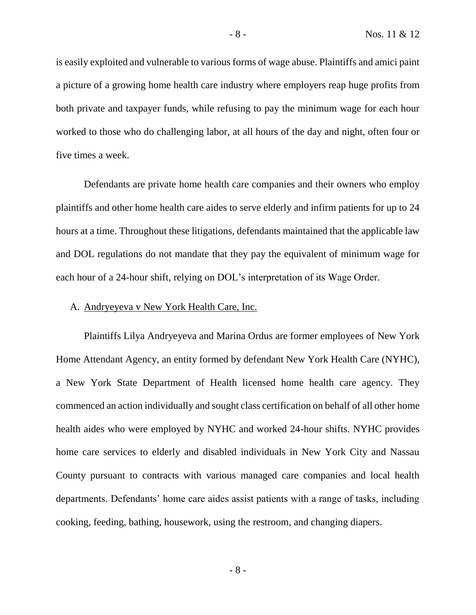is easily exploited and vulnerable to various forms of wage abuse. Plaintiffs and amici paint a picture of a growing home health care industry where employers reap huge profits from both private and taxpayer funds, while refusing to pay the minimum wage for each hour worked to those who do challenging labor, at all hours of the day and night, often four or five times a week.

Defendants are private home health care companies and their owners who employ plaintiffs and other home health care aides to serve elderly and infirm patients for up to 24 hours at a time. Throughout these litigations, defendants maintained that the applicable law and DOL regulations do not mandate that they pay the equivalent of minimum wage for each hour of a 24-hour shift, relying on DOL's interpretation of its Wage Order.

# A. Andryeyeva v New York Health Care, Inc.

Plaintiffs Lilya Andryeyeva and Marina Ordus are former employees of New York Home Attendant Agency, an entity formed by defendant New York Health Care (NYHC), a New York State Department of Health licensed home health care agency. They commenced an action individually and sought class certification on behalf of all other home health aides who were employed by NYHC and worked 24-hour shifts. NYHC provides home care services to elderly and disabled individuals in New York City and Nassau County pursuant to contracts with various managed care companies and local health departments. Defendants' home care aides assist patients with a range of tasks, including cooking, feeding, bathing, housework, using the restroom, and changing diapers.

- 8 -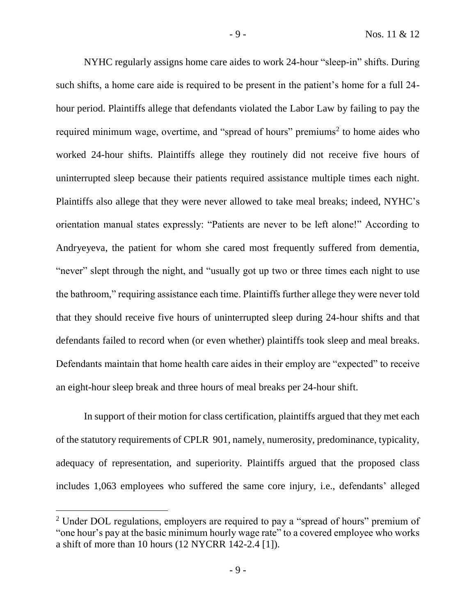NYHC regularly assigns home care aides to work 24-hour "sleep-in" shifts. During such shifts, a home care aide is required to be present in the patient's home for a full 24 hour period. Plaintiffs allege that defendants violated the Labor Law by failing to pay the required minimum wage, overtime, and "spread of hours" premiums<sup>2</sup> to home aides who worked 24-hour shifts. Plaintiffs allege they routinely did not receive five hours of uninterrupted sleep because their patients required assistance multiple times each night. Plaintiffs also allege that they were never allowed to take meal breaks; indeed, NYHC's orientation manual states expressly: "Patients are never to be left alone!" According to Andryeyeva, the patient for whom she cared most frequently suffered from dementia, "never" slept through the night, and "usually got up two or three times each night to use the bathroom," requiring assistance each time. Plaintiffs further allege they were never told that they should receive five hours of uninterrupted sleep during 24-hour shifts and that defendants failed to record when (or even whether) plaintiffs took sleep and meal breaks. Defendants maintain that home health care aides in their employ are "expected" to receive an eight-hour sleep break and three hours of meal breaks per 24-hour shift.

In support of their motion for class certification, plaintiffs argued that they met each of the statutory requirements of CPLR 901, namely, numerosity, predominance, typicality, adequacy of representation, and superiority. Plaintiffs argued that the proposed class includes 1,063 employees who suffered the same core injury, i.e., defendants' alleged

<sup>&</sup>lt;sup>2</sup> Under DOL regulations, employers are required to pay a "spread of hours" premium of "one hour's pay at the basic minimum hourly wage rate" to a covered employee who works a shift of more than 10 hours (12 NYCRR 142-2.4 [1]).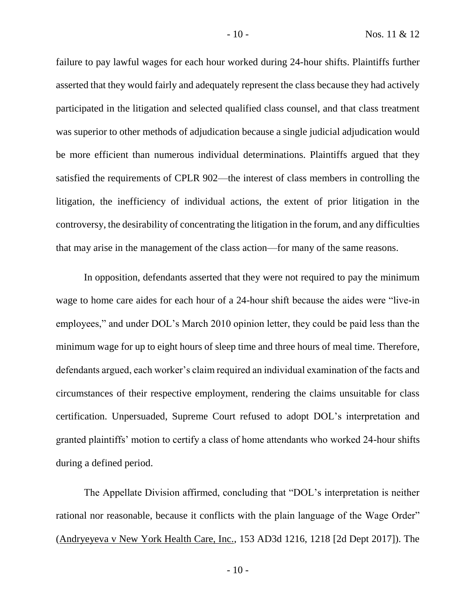failure to pay lawful wages for each hour worked during 24-hour shifts. Plaintiffs further asserted that they would fairly and adequately represent the class because they had actively participated in the litigation and selected qualified class counsel, and that class treatment was superior to other methods of adjudication because a single judicial adjudication would be more efficient than numerous individual determinations. Plaintiffs argued that they satisfied the requirements of CPLR 902—the interest of class members in controlling the litigation, the inefficiency of individual actions, the extent of prior litigation in the controversy, the desirability of concentrating the litigation in the forum, and any difficulties that may arise in the management of the class action—for many of the same reasons.

In opposition, defendants asserted that they were not required to pay the minimum wage to home care aides for each hour of a 24-hour shift because the aides were "live-in employees," and under DOL's March 2010 opinion letter, they could be paid less than the minimum wage for up to eight hours of sleep time and three hours of meal time. Therefore, defendants argued, each worker's claim required an individual examination of the facts and circumstances of their respective employment, rendering the claims unsuitable for class certification. Unpersuaded, Supreme Court refused to adopt DOL's interpretation and granted plaintiffs' motion to certify a class of home attendants who worked 24-hour shifts during a defined period.

The Appellate Division affirmed, concluding that "DOL's interpretation is neither rational nor reasonable, because it conflicts with the plain language of the Wage Order" (Andryeyeva v New York Health Care, Inc., 153 AD3d 1216, 1218 [2d Dept 2017]). The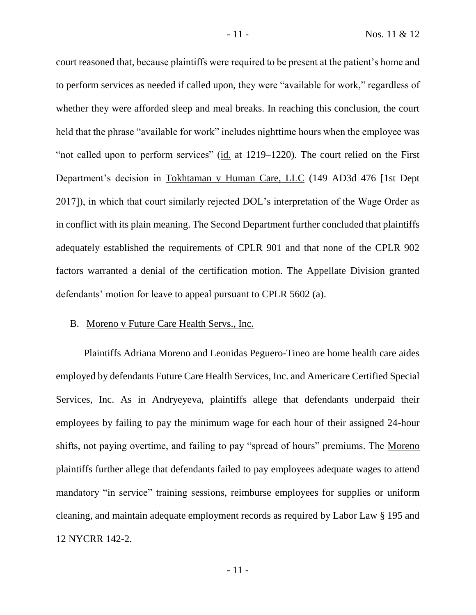court reasoned that, because plaintiffs were required to be present at the patient's home and to perform services as needed if called upon, they were "available for work," regardless of whether they were afforded sleep and meal breaks. In reaching this conclusion, the court held that the phrase "available for work" includes nighttime hours when the employee was "not called upon to perform services" (id. at 1219–1220). The court relied on the First Department's decision in Tokhtaman v Human Care, LLC (149 AD3d 476 [1st Dept 2017]), in which that court similarly rejected DOL's interpretation of the Wage Order as in conflict with its plain meaning. The Second Department further concluded that plaintiffs adequately established the requirements of CPLR 901 and that none of the CPLR 902 factors warranted a denial of the certification motion. The Appellate Division granted defendants' motion for leave to appeal pursuant to CPLR 5602 (a).

#### B. Moreno v Future Care Health Servs., Inc.

Plaintiffs Adriana Moreno and Leonidas Peguero-Tineo are home health care aides employed by defendants Future Care Health Services, Inc. and Americare Certified Special Services, Inc. As in Andryeyeva, plaintiffs allege that defendants underpaid their employees by failing to pay the minimum wage for each hour of their assigned 24-hour shifts, not paying overtime, and failing to pay "spread of hours" premiums. The Moreno plaintiffs further allege that defendants failed to pay employees adequate wages to attend mandatory "in service" training sessions, reimburse employees for supplies or uniform cleaning, and maintain adequate employment records as required by Labor Law § 195 and 12 NYCRR 142-2.

- 11 -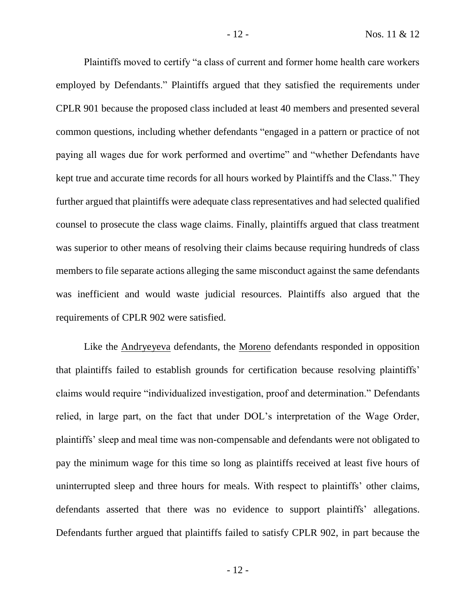Plaintiffs moved to certify "a class of current and former home health care workers employed by Defendants." Plaintiffs argued that they satisfied the requirements under CPLR 901 because the proposed class included at least 40 members and presented several common questions, including whether defendants "engaged in a pattern or practice of not paying all wages due for work performed and overtime" and "whether Defendants have kept true and accurate time records for all hours worked by Plaintiffs and the Class." They further argued that plaintiffs were adequate class representatives and had selected qualified counsel to prosecute the class wage claims. Finally, plaintiffs argued that class treatment was superior to other means of resolving their claims because requiring hundreds of class members to file separate actions alleging the same misconduct against the same defendants was inefficient and would waste judicial resources. Plaintiffs also argued that the requirements of CPLR 902 were satisfied.

Like the Andryeyeva defendants, the Moreno defendants responded in opposition that plaintiffs failed to establish grounds for certification because resolving plaintiffs' claims would require "individualized investigation, proof and determination." Defendants relied, in large part, on the fact that under DOL's interpretation of the Wage Order, plaintiffs' sleep and meal time was non-compensable and defendants were not obligated to pay the minimum wage for this time so long as plaintiffs received at least five hours of uninterrupted sleep and three hours for meals. With respect to plaintiffs' other claims, defendants asserted that there was no evidence to support plaintiffs' allegations. Defendants further argued that plaintiffs failed to satisfy CPLR 902, in part because the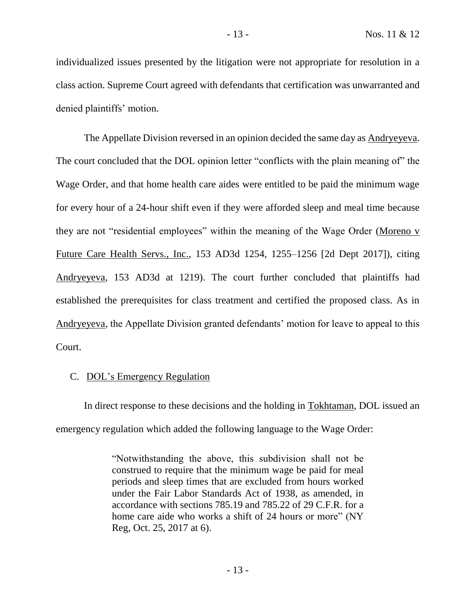individualized issues presented by the litigation were not appropriate for resolution in a class action. Supreme Court agreed with defendants that certification was unwarranted and denied plaintiffs' motion.

The Appellate Division reversed in an opinion decided the same day as Andryeyeva. The court concluded that the DOL opinion letter "conflicts with the plain meaning of" the Wage Order, and that home health care aides were entitled to be paid the minimum wage for every hour of a 24-hour shift even if they were afforded sleep and meal time because they are not "residential employees" within the meaning of the Wage Order (Moreno v Future Care Health Servs., Inc., 153 AD3d 1254, 1255–1256 [2d Dept 2017]), citing Andryeyeva, 153 AD3d at 1219). The court further concluded that plaintiffs had established the prerequisites for class treatment and certified the proposed class. As in Andryeyeva, the Appellate Division granted defendants' motion for leave to appeal to this Court.

# C. DOL's Emergency Regulation

In direct response to these decisions and the holding in Tokhtaman, DOL issued an emergency regulation which added the following language to the Wage Order:

> "Notwithstanding the above, this subdivision shall not be construed to require that the minimum wage be paid for meal periods and sleep times that are excluded from hours worked under the Fair Labor Standards Act of 1938, as amended, in accordance with sections 785.19 and 785.22 of 29 C.F.R. for a home care aide who works a shift of 24 hours or more" (NY Reg, Oct. 25, 2017 at 6).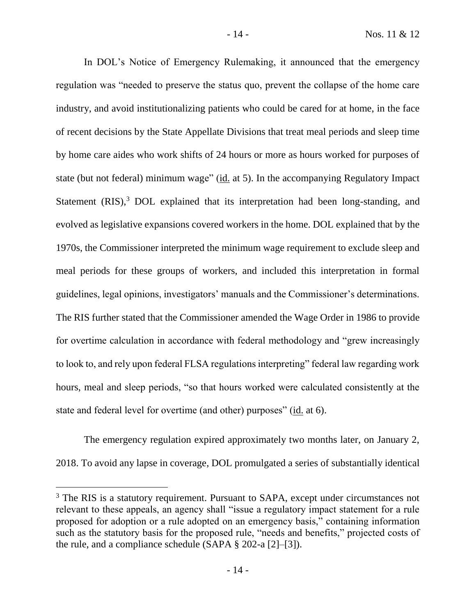In DOL's Notice of Emergency Rulemaking, it announced that the emergency regulation was "needed to preserve the status quo, prevent the collapse of the home care industry, and avoid institutionalizing patients who could be cared for at home, in the face of recent decisions by the State Appellate Divisions that treat meal periods and sleep time by home care aides who work shifts of 24 hours or more as hours worked for purposes of state (but not federal) minimum wage" (id. at 5). In the accompanying Regulatory Impact Statement  $(RIS)$ ,<sup>3</sup> DOL explained that its interpretation had been long-standing, and evolved as legislative expansions covered workers in the home. DOL explained that by the 1970s, the Commissioner interpreted the minimum wage requirement to exclude sleep and meal periods for these groups of workers, and included this interpretation in formal guidelines, legal opinions, investigators' manuals and the Commissioner's determinations. The RIS further stated that the Commissioner amended the Wage Order in 1986 to provide for overtime calculation in accordance with federal methodology and "grew increasingly to look to, and rely upon federal FLSA regulations interpreting" federal law regarding work hours, meal and sleep periods, "so that hours worked were calculated consistently at the state and federal level for overtime (and other) purposes" (id. at 6).

The emergency regulation expired approximately two months later, on January 2, 2018. To avoid any lapse in coverage, DOL promulgated a series of substantially identical

<sup>&</sup>lt;sup>3</sup> The RIS is a statutory requirement. Pursuant to SAPA, except under circumstances not relevant to these appeals, an agency shall "issue a regulatory impact statement for a rule proposed for adoption or a rule adopted on an emergency basis," containing information such as the statutory basis for the proposed rule, "needs and benefits," projected costs of the rule, and a compliance schedule (SAPA § 202-a [2]–[3]).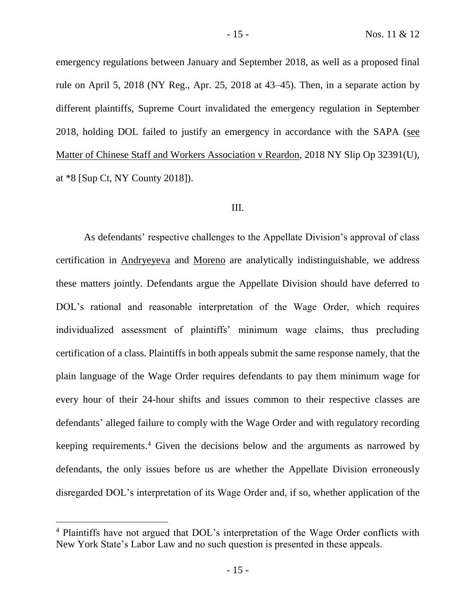emergency regulations between January and September 2018, as well as a proposed final rule on April 5, 2018 (NY Reg., Apr. 25, 2018 at 43–45). Then, in a separate action by different plaintiffs, Supreme Court invalidated the emergency regulation in September 2018, holding DOL failed to justify an emergency in accordance with the SAPA (see Matter of Chinese Staff and Workers Association v Reardon, 2018 NY Slip Op 32391(U), at \*8 [Sup Ct, NY County 2018]).

#### III.

As defendants' respective challenges to the Appellate Division's approval of class certification in Andryeyeva and Moreno are analytically indistinguishable, we address these matters jointly. Defendants argue the Appellate Division should have deferred to DOL's rational and reasonable interpretation of the Wage Order, which requires individualized assessment of plaintiffs' minimum wage claims, thus precluding certification of a class. Plaintiffs in both appeals submit the same response namely, that the plain language of the Wage Order requires defendants to pay them minimum wage for every hour of their 24-hour shifts and issues common to their respective classes are defendants' alleged failure to comply with the Wage Order and with regulatory recording keeping requirements.<sup>4</sup> Given the decisions below and the arguments as narrowed by defendants, the only issues before us are whether the Appellate Division erroneously disregarded DOL's interpretation of its Wage Order and, if so, whether application of the

<sup>4</sup> Plaintiffs have not argued that DOL's interpretation of the Wage Order conflicts with New York State's Labor Law and no such question is presented in these appeals.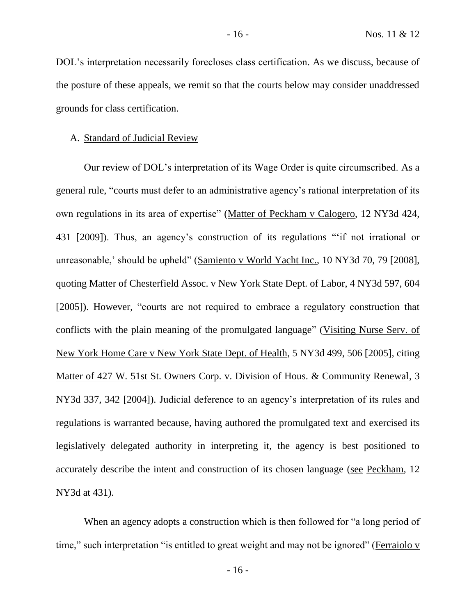DOL's interpretation necessarily forecloses class certification. As we discuss, because of the posture of these appeals, we remit so that the courts below may consider unaddressed grounds for class certification.

#### A. Standard of Judicial Review

Our review of DOL's interpretation of its Wage Order is quite circumscribed. As a general rule, "courts must defer to an administrative agency's rational interpretation of its own regulations in its area of expertise" (Matter of Peckham v Calogero, 12 NY3d 424, 431 [2009]). Thus, an agency's construction of its regulations "'if not irrational or unreasonable,' should be upheld" (Samiento v World Yacht Inc., 10 NY3d 70, 79 [2008], quoting Matter of Chesterfield Assoc. v New York State Dept. of Labor, 4 NY3d 597, 604 [2005]). However, "courts are not required to embrace a regulatory construction that conflicts with the plain meaning of the promulgated language" (Visiting Nurse Serv. of New York Home Care v New York State Dept. of Health, 5 NY3d 499, 506 [2005], citing Matter of 427 W. 51st St. Owners Corp. v. Division of Hous. & Community Renewal, 3 NY3d 337, 342 [2004]). Judicial deference to an agency's interpretation of its rules and regulations is warranted because, having authored the promulgated text and exercised its legislatively delegated authority in interpreting it, the agency is best positioned to accurately describe the intent and construction of its chosen language (see Peckham, 12 NY3d at 431).

When an agency adopts a construction which is then followed for "a long period of time," such interpretation "is entitled to great weight and may not be ignored" (Ferraiolo v

- 16 -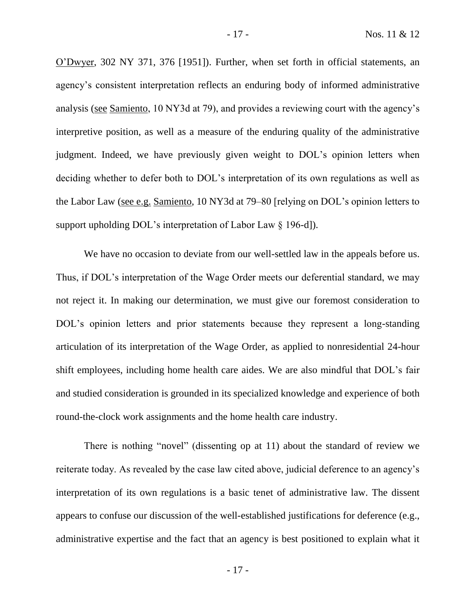O'Dwyer, 302 NY 371, 376 [1951]). Further, when set forth in official statements, an agency's consistent interpretation reflects an enduring body of informed administrative analysis (see Samiento, 10 NY3d at 79), and provides a reviewing court with the agency's interpretive position, as well as a measure of the enduring quality of the administrative judgment. Indeed, we have previously given weight to DOL's opinion letters when deciding whether to defer both to DOL's interpretation of its own regulations as well as the Labor Law (see e.g. Samiento, 10 NY3d at 79–80 [relying on DOL's opinion letters to support upholding DOL's interpretation of Labor Law § 196-d]).

We have no occasion to deviate from our well-settled law in the appeals before us. Thus, if DOL's interpretation of the Wage Order meets our deferential standard, we may not reject it. In making our determination, we must give our foremost consideration to DOL's opinion letters and prior statements because they represent a long-standing articulation of its interpretation of the Wage Order, as applied to nonresidential 24-hour shift employees, including home health care aides. We are also mindful that DOL's fair and studied consideration is grounded in its specialized knowledge and experience of both round-the-clock work assignments and the home health care industry.

There is nothing "novel" (dissenting op at 11) about the standard of review we reiterate today. As revealed by the case law cited above, judicial deference to an agency's interpretation of its own regulations is a basic tenet of administrative law. The dissent appears to confuse our discussion of the well-established justifications for deference (e.g., administrative expertise and the fact that an agency is best positioned to explain what it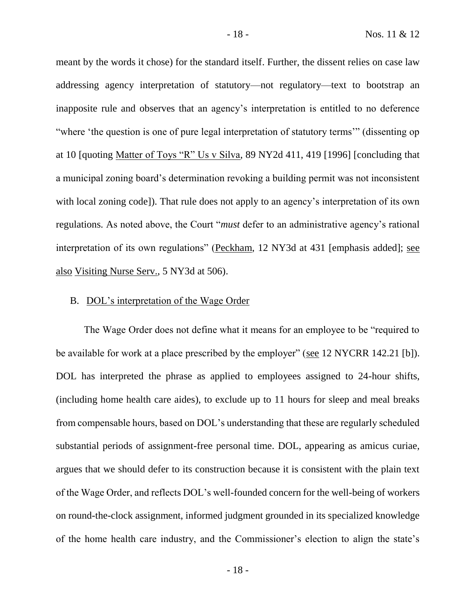meant by the words it chose) for the standard itself. Further, the dissent relies on case law addressing agency interpretation of statutory—not regulatory—text to bootstrap an inapposite rule and observes that an agency's interpretation is entitled to no deference "where 'the question is one of pure legal interpretation of statutory terms'" (dissenting op at 10 [quoting Matter of Toys "R" Us v Silva, 89 NY2d 411, 419 [1996] [concluding that a municipal zoning board's determination revoking a building permit was not inconsistent with local zoning code]). That rule does not apply to an agency's interpretation of its own regulations. As noted above, the Court "*must* defer to an administrative agency's rational interpretation of its own regulations" (Peckham, 12 NY3d at 431 [emphasis added]; see also Visiting Nurse Serv., 5 NY3d at 506).

#### B. DOL's interpretation of the Wage Order

The Wage Order does not define what it means for an employee to be "required to be available for work at a place prescribed by the employer" (see 12 NYCRR 142.21 [b]). DOL has interpreted the phrase as applied to employees assigned to 24-hour shifts, (including home health care aides), to exclude up to 11 hours for sleep and meal breaks from compensable hours, based on DOL's understanding that these are regularly scheduled substantial periods of assignment-free personal time. DOL, appearing as amicus curiae, argues that we should defer to its construction because it is consistent with the plain text of the Wage Order, and reflects DOL's well-founded concern for the well-being of workers on round-the-clock assignment, informed judgment grounded in its specialized knowledge of the home health care industry, and the Commissioner's election to align the state's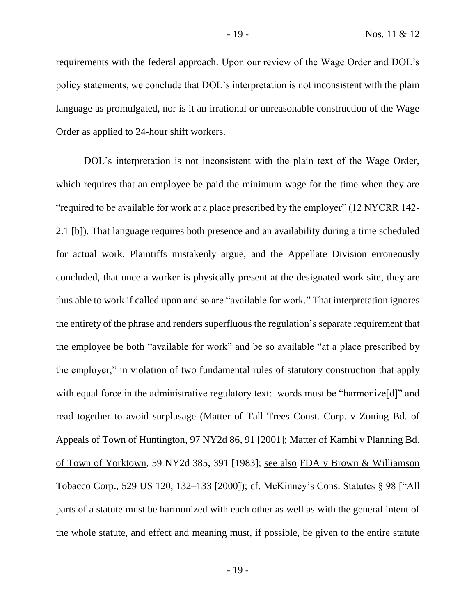requirements with the federal approach. Upon our review of the Wage Order and DOL's policy statements, we conclude that DOL's interpretation is not inconsistent with the plain language as promulgated, nor is it an irrational or unreasonable construction of the Wage Order as applied to 24-hour shift workers.

DOL's interpretation is not inconsistent with the plain text of the Wage Order, which requires that an employee be paid the minimum wage for the time when they are "required to be available for work at a place prescribed by the employer" (12 NYCRR 142- 2.1 [b]). That language requires both presence and an availability during a time scheduled for actual work. Plaintiffs mistakenly argue, and the Appellate Division erroneously concluded, that once a worker is physically present at the designated work site, they are thus able to work if called upon and so are "available for work." That interpretation ignores the entirety of the phrase and renders superfluous the regulation's separate requirement that the employee be both "available for work" and be so available "at a place prescribed by the employer," in violation of two fundamental rules of statutory construction that apply with equal force in the administrative regulatory text: words must be "harmonize<sup>[d]"</sup> and read together to avoid surplusage (Matter of Tall Trees Const. Corp. v Zoning Bd. of Appeals of Town of Huntington, 97 NY2d 86, 91 [2001]; Matter of Kamhi v Planning Bd. of Town of Yorktown, 59 NY2d 385, 391 [1983]; see also FDA v Brown & Williamson Tobacco Corp., 529 US 120, 132–133 [2000]); cf. McKinney's Cons. Statutes § 98 ["All parts of a statute must be harmonized with each other as well as with the general intent of the whole statute, and effect and meaning must, if possible, be given to the entire statute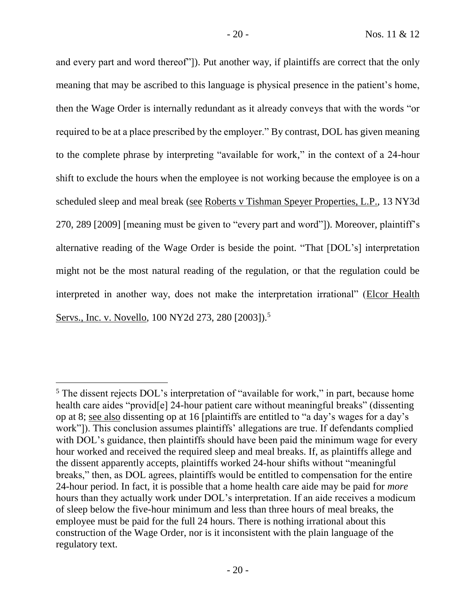and every part and word thereof"]). Put another way, if plaintiffs are correct that the only meaning that may be ascribed to this language is physical presence in the patient's home, then the Wage Order is internally redundant as it already conveys that with the words "or required to be at a place prescribed by the employer." By contrast, DOL has given meaning to the complete phrase by interpreting "available for work," in the context of a 24-hour shift to exclude the hours when the employee is not working because the employee is on a scheduled sleep and meal break (see Roberts v Tishman Speyer Properties, L.P., 13 NY3d 270, 289 [2009] [meaning must be given to "every part and word"]). Moreover, plaintiff's alternative reading of the Wage Order is beside the point. "That [DOL's] interpretation might not be the most natural reading of the regulation, or that the regulation could be interpreted in another way, does not make the interpretation irrational" (Elcor Health Servs., Inc. v. Novello, 100 NY2d 273, 280 [2003]).<sup>5</sup>

<sup>&</sup>lt;sup>5</sup> The dissent rejects DOL's interpretation of "available for work," in part, because home health care aides "provid<sup>[e]</sup> 24-hour patient care without meaningful breaks" (dissenting op at 8; see also dissenting op at 16 [plaintiffs are entitled to "a day's wages for a day's work"]). This conclusion assumes plaintiffs' allegations are true. If defendants complied with DOL's guidance, then plaintiffs should have been paid the minimum wage for every hour worked and received the required sleep and meal breaks. If, as plaintiffs allege and the dissent apparently accepts, plaintiffs worked 24-hour shifts without "meaningful breaks," then, as DOL agrees, plaintiffs would be entitled to compensation for the entire 24-hour period. In fact, it is possible that a home health care aide may be paid for *more* hours than they actually work under DOL's interpretation. If an aide receives a modicum of sleep below the five-hour minimum and less than three hours of meal breaks, the employee must be paid for the full 24 hours. There is nothing irrational about this construction of the Wage Order, nor is it inconsistent with the plain language of the regulatory text.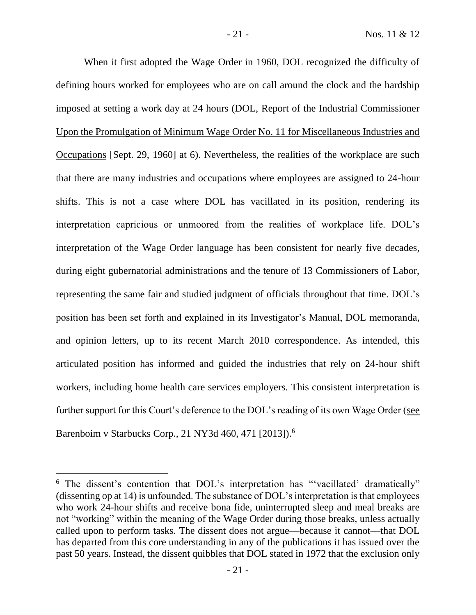When it first adopted the Wage Order in 1960, DOL recognized the difficulty of defining hours worked for employees who are on call around the clock and the hardship imposed at setting a work day at 24 hours (DOL, Report of the Industrial Commissioner Upon the Promulgation of Minimum Wage Order No. 11 for Miscellaneous Industries and Occupations [Sept. 29, 1960] at 6). Nevertheless, the realities of the workplace are such that there are many industries and occupations where employees are assigned to 24-hour shifts. This is not a case where DOL has vacillated in its position, rendering its interpretation capricious or unmoored from the realities of workplace life. DOL's interpretation of the Wage Order language has been consistent for nearly five decades, during eight gubernatorial administrations and the tenure of 13 Commissioners of Labor, representing the same fair and studied judgment of officials throughout that time. DOL's position has been set forth and explained in its Investigator's Manual, DOL memoranda, and opinion letters, up to its recent March 2010 correspondence. As intended, this articulated position has informed and guided the industries that rely on 24-hour shift workers, including home health care services employers. This consistent interpretation is further support for this Court's deference to the DOL's reading of its own Wage Order (see Barenboim v Starbucks Corp., 21 NY3d 460, 471 [2013]).<sup>6</sup>

<sup>&</sup>lt;sup>6</sup> The dissent's contention that DOL's interpretation has "vacillated' dramatically" (dissenting op at 14) is unfounded. The substance of DOL's interpretation is that employees who work 24-hour shifts and receive bona fide, uninterrupted sleep and meal breaks are not "working" within the meaning of the Wage Order during those breaks, unless actually called upon to perform tasks. The dissent does not argue—because it cannot—that DOL has departed from this core understanding in any of the publications it has issued over the past 50 years. Instead, the dissent quibbles that DOL stated in 1972 that the exclusion only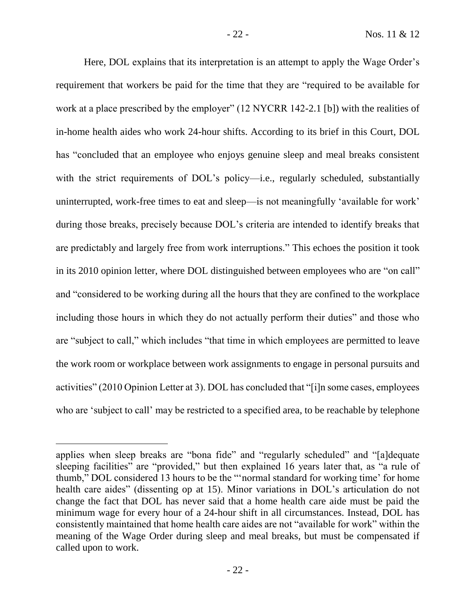Here, DOL explains that its interpretation is an attempt to apply the Wage Order's requirement that workers be paid for the time that they are "required to be available for work at a place prescribed by the employer" (12 NYCRR 142-2.1 [b]) with the realities of in-home health aides who work 24-hour shifts. According to its brief in this Court, DOL has "concluded that an employee who enjoys genuine sleep and meal breaks consistent with the strict requirements of DOL's policy—i.e., regularly scheduled, substantially uninterrupted, work-free times to eat and sleep—is not meaningfully 'available for work' during those breaks, precisely because DOL's criteria are intended to identify breaks that are predictably and largely free from work interruptions." This echoes the position it took in its 2010 opinion letter, where DOL distinguished between employees who are "on call" and "considered to be working during all the hours that they are confined to the workplace including those hours in which they do not actually perform their duties" and those who are "subject to call," which includes "that time in which employees are permitted to leave the work room or workplace between work assignments to engage in personal pursuits and activities" (2010 Opinion Letter at 3). DOL has concluded that "[i]n some cases, employees who are 'subject to call' may be restricted to a specified area, to be reachable by telephone

applies when sleep breaks are "bona fide" and "regularly scheduled" and "[a]dequate sleeping facilities" are "provided," but then explained 16 years later that, as "a rule of thumb," DOL considered 13 hours to be the "'normal standard for working time' for home health care aides" (dissenting op at 15). Minor variations in DOL's articulation do not change the fact that DOL has never said that a home health care aide must be paid the minimum wage for every hour of a 24-hour shift in all circumstances. Instead, DOL has consistently maintained that home health care aides are not "available for work" within the meaning of the Wage Order during sleep and meal breaks, but must be compensated if called upon to work.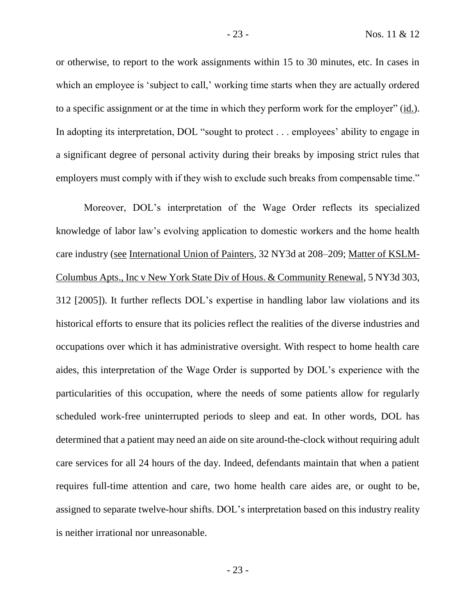or otherwise, to report to the work assignments within 15 to 30 minutes, etc. In cases in which an employee is 'subject to call,' working time starts when they are actually ordered to a specific assignment or at the time in which they perform work for the employer" (id.). In adopting its interpretation, DOL "sought to protect . . . employees' ability to engage in a significant degree of personal activity during their breaks by imposing strict rules that employers must comply with if they wish to exclude such breaks from compensable time."

Moreover, DOL's interpretation of the Wage Order reflects its specialized knowledge of labor law's evolving application to domestic workers and the home health care industry (see International Union of Painters, 32 NY3d at 208–209; Matter of KSLM-Columbus Apts., Inc v New York State Div of Hous. & Community Renewal, 5 NY3d 303, 312 [2005]). It further reflects DOL's expertise in handling labor law violations and its historical efforts to ensure that its policies reflect the realities of the diverse industries and occupations over which it has administrative oversight. With respect to home health care aides, this interpretation of the Wage Order is supported by DOL's experience with the particularities of this occupation, where the needs of some patients allow for regularly scheduled work-free uninterrupted periods to sleep and eat. In other words, DOL has determined that a patient may need an aide on site around-the-clock without requiring adult care services for all 24 hours of the day. Indeed, defendants maintain that when a patient requires full-time attention and care, two home health care aides are, or ought to be, assigned to separate twelve-hour shifts. DOL's interpretation based on this industry reality is neither irrational nor unreasonable.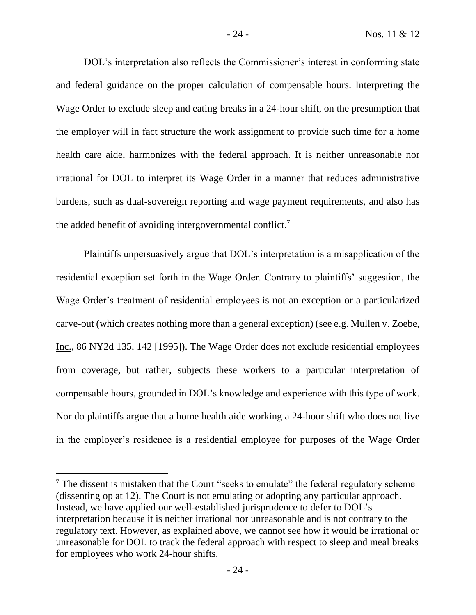DOL's interpretation also reflects the Commissioner's interest in conforming state and federal guidance on the proper calculation of compensable hours. Interpreting the Wage Order to exclude sleep and eating breaks in a 24-hour shift, on the presumption that the employer will in fact structure the work assignment to provide such time for a home health care aide, harmonizes with the federal approach. It is neither unreasonable nor irrational for DOL to interpret its Wage Order in a manner that reduces administrative burdens, such as dual-sovereign reporting and wage payment requirements, and also has the added benefit of avoiding intergovernmental conflict.<sup>7</sup>

Plaintiffs unpersuasively argue that DOL's interpretation is a misapplication of the residential exception set forth in the Wage Order. Contrary to plaintiffs' suggestion, the Wage Order's treatment of residential employees is not an exception or a particularized carve-out (which creates nothing more than a general exception) (see e.g. Mullen v. Zoebe, Inc., 86 NY2d 135, 142 [1995]). The Wage Order does not exclude residential employees from coverage, but rather, subjects these workers to a particular interpretation of compensable hours, grounded in DOL's knowledge and experience with this type of work. Nor do plaintiffs argue that a home health aide working a 24-hour shift who does not live in the employer's residence is a residential employee for purposes of the Wage Order

<sup>&</sup>lt;sup>7</sup> The dissent is mistaken that the Court "seeks to emulate" the federal regulatory scheme (dissenting op at 12). The Court is not emulating or adopting any particular approach. Instead, we have applied our well-established jurisprudence to defer to DOL's interpretation because it is neither irrational nor unreasonable and is not contrary to the regulatory text. However, as explained above, we cannot see how it would be irrational or unreasonable for DOL to track the federal approach with respect to sleep and meal breaks for employees who work 24-hour shifts.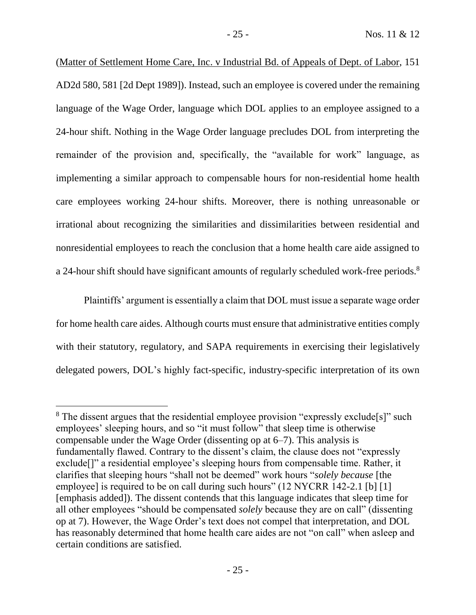(Matter of Settlement Home Care, Inc. v Industrial Bd. of Appeals of Dept. of Labor, 151 AD2d 580, 581 [2d Dept 1989]). Instead, such an employee is covered under the remaining language of the Wage Order, language which DOL applies to an employee assigned to a 24-hour shift. Nothing in the Wage Order language precludes DOL from interpreting the remainder of the provision and, specifically, the "available for work" language, as implementing a similar approach to compensable hours for non-residential home health care employees working 24-hour shifts. Moreover, there is nothing unreasonable or irrational about recognizing the similarities and dissimilarities between residential and nonresidential employees to reach the conclusion that a home health care aide assigned to a 24-hour shift should have significant amounts of regularly scheduled work-free periods.<sup>8</sup>

Plaintiffs' argument is essentially a claim that DOL must issue a separate wage order for home health care aides. Although courts must ensure that administrative entities comply with their statutory, regulatory, and SAPA requirements in exercising their legislatively delegated powers, DOL's highly fact-specific, industry-specific interpretation of its own

<sup>&</sup>lt;sup>8</sup> The dissent argues that the residential employee provision "expressly exclude<sup>[s]"</sup> such employees' sleeping hours, and so "it must follow" that sleep time is otherwise compensable under the Wage Order (dissenting op at 6–7). This analysis is fundamentally flawed. Contrary to the dissent's claim, the clause does not "expressly exclude[]" a residential employee's sleeping hours from compensable time. Rather, it clarifies that sleeping hours "shall not be deemed" work hours "*solely because* [the employee] is required to be on call during such hours" (12 NYCRR 142-2.1 [b] [1] [emphasis added]). The dissent contends that this language indicates that sleep time for all other employees "should be compensated *solely* because they are on call" (dissenting op at 7). However, the Wage Order's text does not compel that interpretation, and DOL has reasonably determined that home health care aides are not "on call" when asleep and certain conditions are satisfied.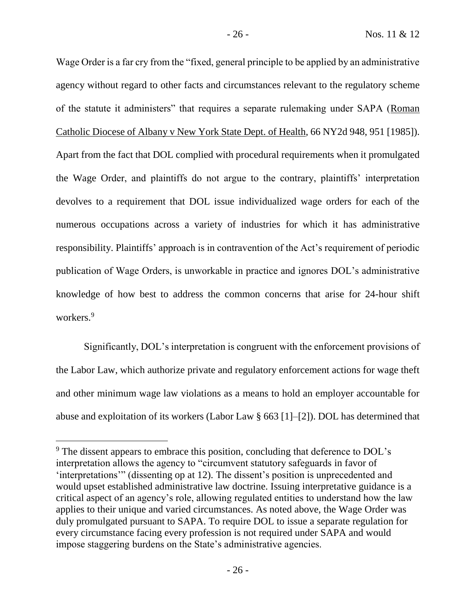Wage Order is a far cry from the "fixed, general principle to be applied by an administrative agency without regard to other facts and circumstances relevant to the regulatory scheme of the statute it administers" that requires a separate rulemaking under SAPA (Roman Catholic Diocese of Albany v New York State Dept. of Health, 66 NY2d 948, 951 [1985]). Apart from the fact that DOL complied with procedural requirements when it promulgated the Wage Order, and plaintiffs do not argue to the contrary, plaintiffs' interpretation devolves to a requirement that DOL issue individualized wage orders for each of the numerous occupations across a variety of industries for which it has administrative responsibility. Plaintiffs' approach is in contravention of the Act's requirement of periodic publication of Wage Orders, is unworkable in practice and ignores DOL's administrative knowledge of how best to address the common concerns that arise for 24-hour shift workers. 9

Significantly, DOL's interpretation is congruent with the enforcement provisions of the Labor Law, which authorize private and regulatory enforcement actions for wage theft and other minimum wage law violations as a means to hold an employer accountable for abuse and exploitation of its workers (Labor Law § 663 [1]–[2]). DOL has determined that

<sup>&</sup>lt;sup>9</sup> The dissent appears to embrace this position, concluding that deference to DOL's interpretation allows the agency to "circumvent statutory safeguards in favor of 'interpretations'" (dissenting op at 12). The dissent's position is unprecedented and would upset established administrative law doctrine. Issuing interpretative guidance is a critical aspect of an agency's role, allowing regulated entities to understand how the law applies to their unique and varied circumstances. As noted above, the Wage Order was duly promulgated pursuant to SAPA. To require DOL to issue a separate regulation for every circumstance facing every profession is not required under SAPA and would impose staggering burdens on the State's administrative agencies.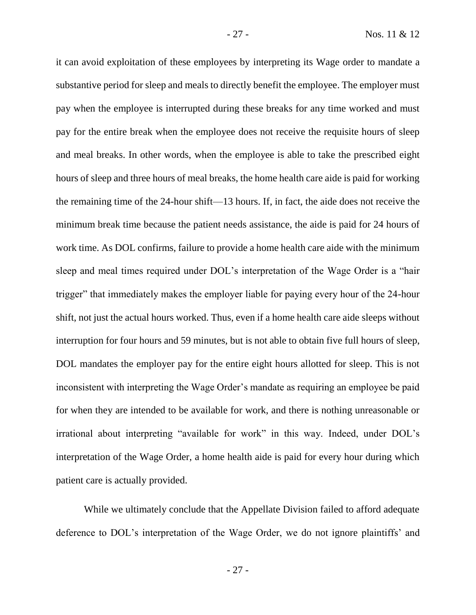it can avoid exploitation of these employees by interpreting its Wage order to mandate a substantive period for sleep and meals to directly benefit the employee. The employer must pay when the employee is interrupted during these breaks for any time worked and must pay for the entire break when the employee does not receive the requisite hours of sleep and meal breaks. In other words, when the employee is able to take the prescribed eight hours of sleep and three hours of meal breaks, the home health care aide is paid for working the remaining time of the 24-hour shift—13 hours. If, in fact, the aide does not receive the minimum break time because the patient needs assistance, the aide is paid for 24 hours of work time. As DOL confirms, failure to provide a home health care aide with the minimum sleep and meal times required under DOL's interpretation of the Wage Order is a "hair trigger" that immediately makes the employer liable for paying every hour of the 24-hour shift, not just the actual hours worked. Thus, even if a home health care aide sleeps without interruption for four hours and 59 minutes, but is not able to obtain five full hours of sleep, DOL mandates the employer pay for the entire eight hours allotted for sleep. This is not inconsistent with interpreting the Wage Order's mandate as requiring an employee be paid for when they are intended to be available for work, and there is nothing unreasonable or irrational about interpreting "available for work" in this way. Indeed, under DOL's interpretation of the Wage Order, a home health aide is paid for every hour during which patient care is actually provided.

While we ultimately conclude that the Appellate Division failed to afford adequate deference to DOL's interpretation of the Wage Order, we do not ignore plaintiffs' and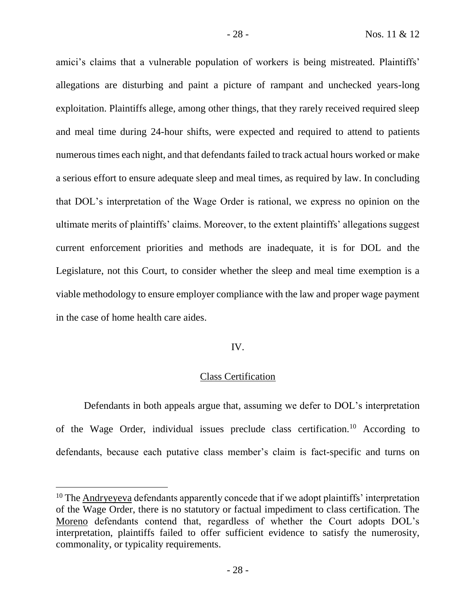amici's claims that a vulnerable population of workers is being mistreated. Plaintiffs' allegations are disturbing and paint a picture of rampant and unchecked years-long exploitation. Plaintiffs allege, among other things, that they rarely received required sleep and meal time during 24-hour shifts, were expected and required to attend to patients numerous times each night, and that defendants failed to track actual hours worked or make a serious effort to ensure adequate sleep and meal times, as required by law. In concluding that DOL's interpretation of the Wage Order is rational, we express no opinion on the ultimate merits of plaintiffs' claims. Moreover, to the extent plaintiffs' allegations suggest current enforcement priorities and methods are inadequate, it is for DOL and the Legislature, not this Court, to consider whether the sleep and meal time exemption is a viable methodology to ensure employer compliance with the law and proper wage payment in the case of home health care aides.

# IV.

# Class Certification

Defendants in both appeals argue that, assuming we defer to DOL's interpretation of the Wage Order, individual issues preclude class certification.<sup>10</sup> According to defendants, because each putative class member's claim is fact-specific and turns on

 $10$  The Andryeveva defendants apparently concede that if we adopt plaintiffs' interpretation of the Wage Order, there is no statutory or factual impediment to class certification. The Moreno defendants contend that, regardless of whether the Court adopts DOL's interpretation, plaintiffs failed to offer sufficient evidence to satisfy the numerosity, commonality, or typicality requirements.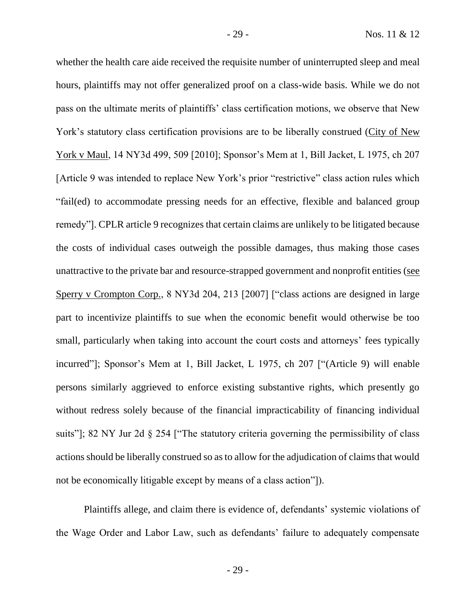whether the health care aide received the requisite number of uninterrupted sleep and meal hours, plaintiffs may not offer generalized proof on a class-wide basis. While we do not pass on the ultimate merits of plaintiffs' class certification motions, we observe that New York's statutory class certification provisions are to be liberally construed (City of New York v Maul, 14 NY3d 499, 509 [2010]; Sponsor's Mem at 1, Bill Jacket, L 1975, ch 207 [Article 9 was intended to replace New York's prior "restrictive" class action rules which "fail(ed) to accommodate pressing needs for an effective, flexible and balanced group remedy"]. CPLR article 9 recognizes that certain claims are unlikely to be litigated because the costs of individual cases outweigh the possible damages, thus making those cases unattractive to the private bar and resource-strapped government and nonprofit entities (see Sperry v Crompton Corp., 8 NY3d 204, 213 [2007] ["class actions are designed in large part to incentivize plaintiffs to sue when the economic benefit would otherwise be too small, particularly when taking into account the court costs and attorneys' fees typically incurred"]; Sponsor's Mem at 1, Bill Jacket, L 1975, ch 207 ["(Article 9) will enable persons similarly aggrieved to enforce existing substantive rights, which presently go without redress solely because of the financial impracticability of financing individual suits"]; 82 NY Jur 2d § 254 ["The statutory criteria governing the permissibility of class actions should be liberally construed so as to allow for the adjudication of claims that would not be economically litigable except by means of a class action"]).

Plaintiffs allege, and claim there is evidence of, defendants' systemic violations of the Wage Order and Labor Law, such as defendants' failure to adequately compensate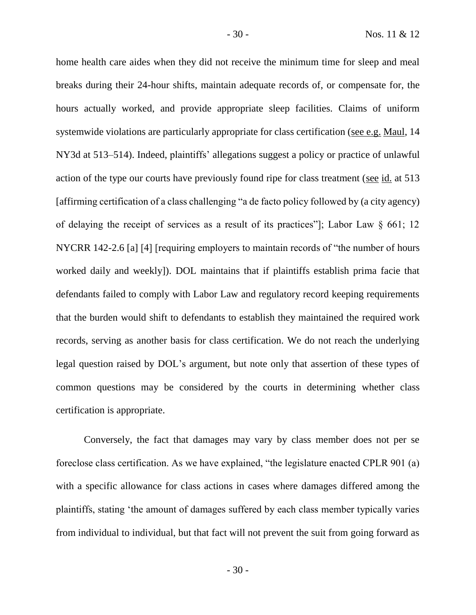home health care aides when they did not receive the minimum time for sleep and meal breaks during their 24-hour shifts, maintain adequate records of, or compensate for, the hours actually worked, and provide appropriate sleep facilities. Claims of uniform systemwide violations are particularly appropriate for class certification (see e.g. Maul, 14 NY3d at 513–514). Indeed, plaintiffs' allegations suggest a policy or practice of unlawful action of the type our courts have previously found ripe for class treatment (see id. at 513 [affirming certification of a class challenging "a de facto policy followed by (a city agency) of delaying the receipt of services as a result of its practices"]; Labor Law § 661; 12 NYCRR 142-2.6 [a] [4] [requiring employers to maintain records of "the number of hours worked daily and weekly]). DOL maintains that if plaintiffs establish prima facie that defendants failed to comply with Labor Law and regulatory record keeping requirements that the burden would shift to defendants to establish they maintained the required work records, serving as another basis for class certification. We do not reach the underlying legal question raised by DOL's argument, but note only that assertion of these types of common questions may be considered by the courts in determining whether class certification is appropriate.

Conversely, the fact that damages may vary by class member does not per se foreclose class certification. As we have explained, "the legislature enacted CPLR 901 (a) with a specific allowance for class actions in cases where damages differed among the plaintiffs, stating 'the amount of damages suffered by each class member typically varies from individual to individual, but that fact will not prevent the suit from going forward as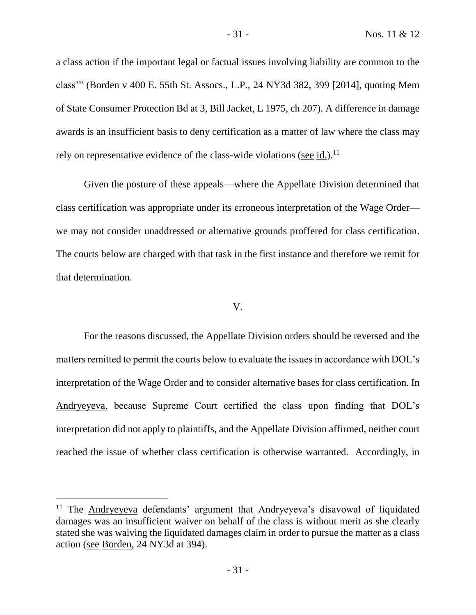a class action if the important legal or factual issues involving liability are common to the class'" (Borden v 400 E. 55th St. Assocs., L.P., 24 NY3d 382, 399 [2014], quoting Mem of State Consumer Protection Bd at 3, Bill Jacket, L 1975, ch 207). A difference in damage awards is an insufficient basis to deny certification as a matter of law where the class may rely on representative evidence of the class-wide violations (see id.).<sup>11</sup>

Given the posture of these appeals—where the Appellate Division determined that class certification was appropriate under its erroneous interpretation of the Wage Order we may not consider unaddressed or alternative grounds proffered for class certification. The courts below are charged with that task in the first instance and therefore we remit for that determination.

#### V.

For the reasons discussed, the Appellate Division orders should be reversed and the matters remitted to permit the courts below to evaluate the issues in accordance with DOL's interpretation of the Wage Order and to consider alternative bases for class certification. In Andryeyeva, because Supreme Court certified the class upon finding that DOL's interpretation did not apply to plaintiffs, and the Appellate Division affirmed, neither court reached the issue of whether class certification is otherwise warranted. Accordingly, in

<sup>&</sup>lt;sup>11</sup> The Andryeyeva defendants' argument that Andryeyeva's disavowal of liquidated damages was an insufficient waiver on behalf of the class is without merit as she clearly stated she was waiving the liquidated damages claim in order to pursue the matter as a class action (see Borden, 24 NY3d at 394).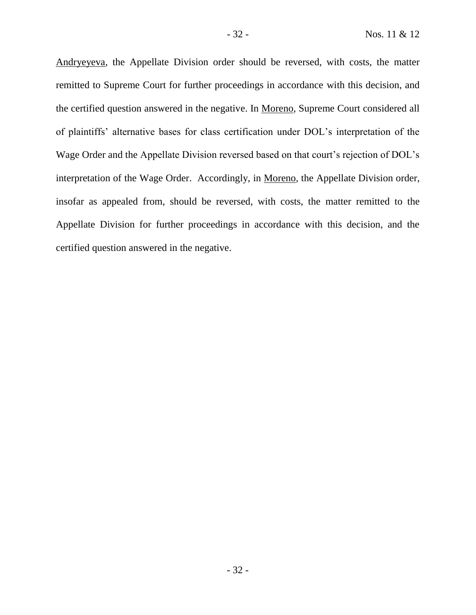Andryeyeva, the Appellate Division order should be reversed, with costs, the matter remitted to Supreme Court for further proceedings in accordance with this decision, and the certified question answered in the negative. In Moreno, Supreme Court considered all of plaintiffs' alternative bases for class certification under DOL's interpretation of the Wage Order and the Appellate Division reversed based on that court's rejection of DOL's interpretation of the Wage Order. Accordingly, in Moreno, the Appellate Division order, insofar as appealed from, should be reversed, with costs, the matter remitted to the Appellate Division for further proceedings in accordance with this decision, and the certified question answered in the negative.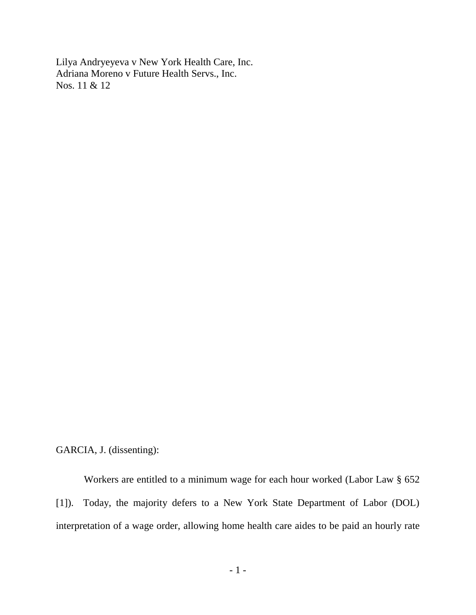Lilya Andryeyeva v New York Health Care, Inc. Adriana Moreno v Future Health Servs., Inc. Nos. 11 & 12

GARCIA, J. (dissenting):

Workers are entitled to a minimum wage for each hour worked (Labor Law § 652 [1]). Today, the majority defers to a New York State Department of Labor (DOL) interpretation of a wage order, allowing home health care aides to be paid an hourly rate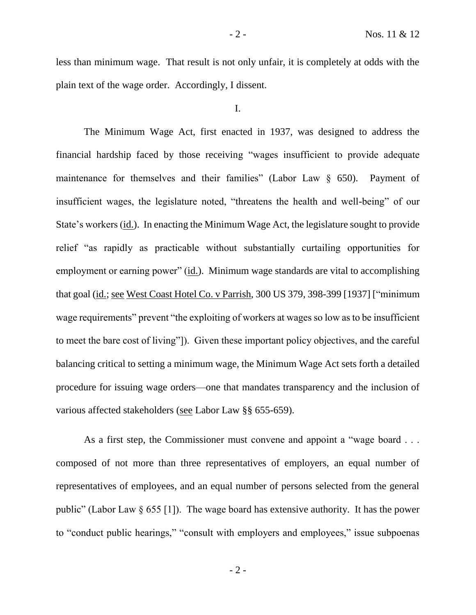less than minimum wage. That result is not only unfair, it is completely at odds with the plain text of the wage order. Accordingly, I dissent.

I.

The Minimum Wage Act, first enacted in 1937, was designed to address the financial hardship faced by those receiving "wages insufficient to provide adequate maintenance for themselves and their families" (Labor Law  $\S$  650). Payment of insufficient wages, the legislature noted, "threatens the health and well-being" of our State's workers (id.). In enacting the Minimum Wage Act, the legislature sought to provide relief "as rapidly as practicable without substantially curtailing opportunities for employment or earning power" (id.). Minimum wage standards are vital to accomplishing that goal (id.; see West Coast Hotel Co. v Parrish, 300 US 379, 398-399 [1937] ["minimum wage requirements" prevent "the exploiting of workers at wages so low as to be insufficient to meet the bare cost of living"]). Given these important policy objectives, and the careful balancing critical to setting a minimum wage, the Minimum Wage Act sets forth a detailed procedure for issuing wage orders—one that mandates transparency and the inclusion of various affected stakeholders (see Labor Law §§ 655-659).

As a first step, the Commissioner must convene and appoint a "wage board . . . composed of not more than three representatives of employers, an equal number of representatives of employees, and an equal number of persons selected from the general public" (Labor Law § 655 [1]). The wage board has extensive authority. It has the power to "conduct public hearings," "consult with employers and employees," issue subpoenas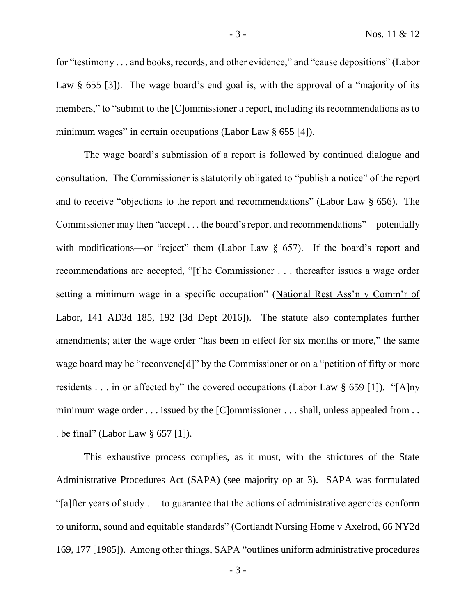for "testimony . . . and books, records, and other evidence," and "cause depositions" (Labor Law § 655 [3]). The wage board's end goal is, with the approval of a "majority of its members," to "submit to the [C]ommissioner a report, including its recommendations as to minimum wages" in certain occupations (Labor Law § 655 [4]).

The wage board's submission of a report is followed by continued dialogue and consultation. The Commissioner is statutorily obligated to "publish a notice" of the report and to receive "objections to the report and recommendations" (Labor Law § 656). The Commissioner may then "accept . . . the board's report and recommendations"—potentially with modifications—or "reject" them (Labor Law  $\S$  657). If the board's report and recommendations are accepted, "[t]he Commissioner . . . thereafter issues a wage order setting a minimum wage in a specific occupation" (National Rest Ass'n v Comm'r of Labor, 141 AD3d 185, 192 [3d Dept 2016]). The statute also contemplates further amendments; after the wage order "has been in effect for six months or more," the same wage board may be "reconvene<sup>[d]"</sup> by the Commissioner or on a "petition of fifty or more residents . . . in or affected by" the covered occupations (Labor Law § 659 [1]). "[A]ny minimum wage order . . . issued by the [C]ommissioner . . . shall, unless appealed from . . . be final" (Labor Law § 657 [1]).

This exhaustive process complies, as it must, with the strictures of the State Administrative Procedures Act (SAPA) (see majority op at 3). SAPA was formulated "[a]fter years of study . . . to guarantee that the actions of administrative agencies conform to uniform, sound and equitable standards" (Cortlandt Nursing Home v Axelrod, 66 NY2d 169, 177 [1985]). Among other things, SAPA "outlines uniform administrative procedures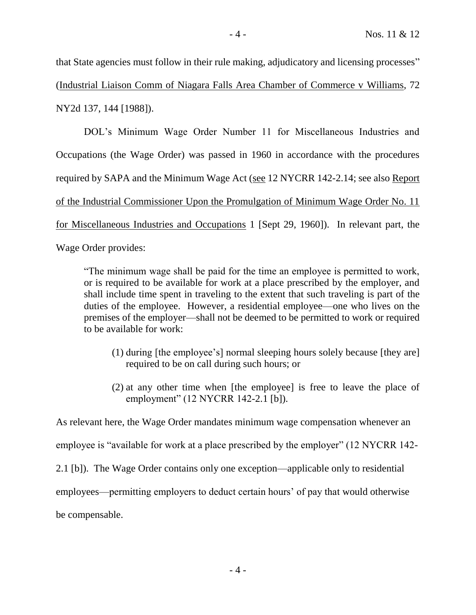that State agencies must follow in their rule making, adjudicatory and licensing processes" (Industrial Liaison Comm of Niagara Falls Area Chamber of Commerce v Williams, 72 NY2d 137, 144 [1988]).

DOL's Minimum Wage Order Number 11 for Miscellaneous Industries and Occupations (the Wage Order) was passed in 1960 in accordance with the procedures required by SAPA and the Minimum Wage Act (see 12 NYCRR 142-2.14; see also Report of the Industrial Commissioner Upon the Promulgation of Minimum Wage Order No. 11 for Miscellaneous Industries and Occupations 1 [Sept 29, 1960]). In relevant part, the

Wage Order provides:

"The minimum wage shall be paid for the time an employee is permitted to work, or is required to be available for work at a place prescribed by the employer, and shall include time spent in traveling to the extent that such traveling is part of the duties of the employee. However, a residential employee—one who lives on the premises of the employer—shall not be deemed to be permitted to work or required to be available for work:

- (1) during [the employee's] normal sleeping hours solely because [they are] required to be on call during such hours; or
- (2) at any other time when [the employee] is free to leave the place of employment" (12 NYCRR 142-2.1 [b]).

As relevant here, the Wage Order mandates minimum wage compensation whenever an

employee is "available for work at a place prescribed by the employer" (12 NYCRR 142-

2.1 [b]). The Wage Order contains only one exception—applicable only to residential

employees—permitting employers to deduct certain hours' of pay that would otherwise

be compensable.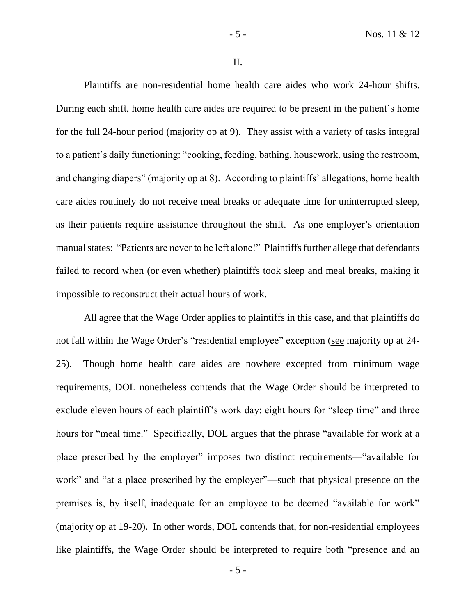II.

Plaintiffs are non-residential home health care aides who work 24-hour shifts. During each shift, home health care aides are required to be present in the patient's home for the full 24-hour period (majority op at 9). They assist with a variety of tasks integral to a patient's daily functioning: "cooking, feeding, bathing, housework, using the restroom, and changing diapers" (majority op at 8). According to plaintiffs' allegations, home health care aides routinely do not receive meal breaks or adequate time for uninterrupted sleep, as their patients require assistance throughout the shift. As one employer's orientation manual states: "Patients are never to be left alone!" Plaintiffs further allege that defendants failed to record when (or even whether) plaintiffs took sleep and meal breaks, making it impossible to reconstruct their actual hours of work.

All agree that the Wage Order applies to plaintiffs in this case, and that plaintiffs do not fall within the Wage Order's "residential employee" exception (see majority op at 24- 25). Though home health care aides are nowhere excepted from minimum wage requirements, DOL nonetheless contends that the Wage Order should be interpreted to exclude eleven hours of each plaintiff's work day: eight hours for "sleep time" and three hours for "meal time." Specifically, DOL argues that the phrase "available for work at a place prescribed by the employer" imposes two distinct requirements—"available for work" and "at a place prescribed by the employer"—such that physical presence on the premises is, by itself, inadequate for an employee to be deemed "available for work" (majority op at 19-20). In other words, DOL contends that, for non-residential employees like plaintiffs, the Wage Order should be interpreted to require both "presence and an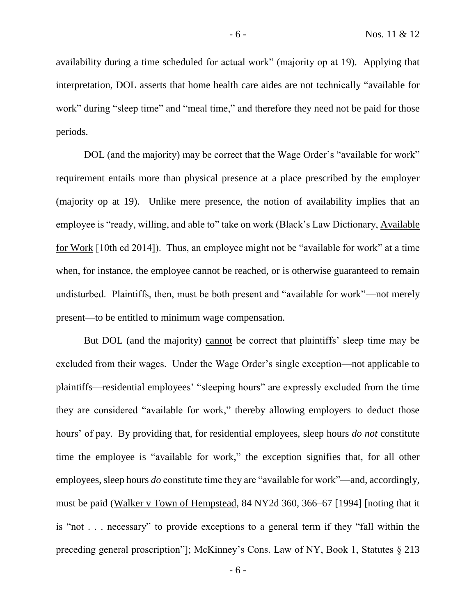availability during a time scheduled for actual work" (majority op at 19). Applying that interpretation, DOL asserts that home health care aides are not technically "available for work" during "sleep time" and "meal time," and therefore they need not be paid for those periods.

DOL (and the majority) may be correct that the Wage Order's "available for work" requirement entails more than physical presence at a place prescribed by the employer (majority op at 19). Unlike mere presence, the notion of availability implies that an employee is "ready, willing, and able to" take on work (Black's Law Dictionary, Available for Work [10th ed 2014]). Thus, an employee might not be "available for work" at a time when, for instance, the employee cannot be reached, or is otherwise guaranteed to remain undisturbed. Plaintiffs, then, must be both present and "available for work"—not merely present—to be entitled to minimum wage compensation.

But DOL (and the majority) cannot be correct that plaintiffs' sleep time may be excluded from their wages. Under the Wage Order's single exception—not applicable to plaintiffs—residential employees' "sleeping hours" are expressly excluded from the time they are considered "available for work," thereby allowing employers to deduct those hours' of pay. By providing that, for residential employees, sleep hours *do not* constitute time the employee is "available for work," the exception signifies that, for all other employees, sleep hours *do* constitute time they are "available for work"—and, accordingly, must be paid (Walker v Town of Hempstead, 84 NY2d 360, 366–67 [1994] [noting that it is "not . . . necessary" to provide exceptions to a general term if they "fall within the preceding general proscription"]; McKinney's Cons. Law of NY, Book 1, Statutes § 213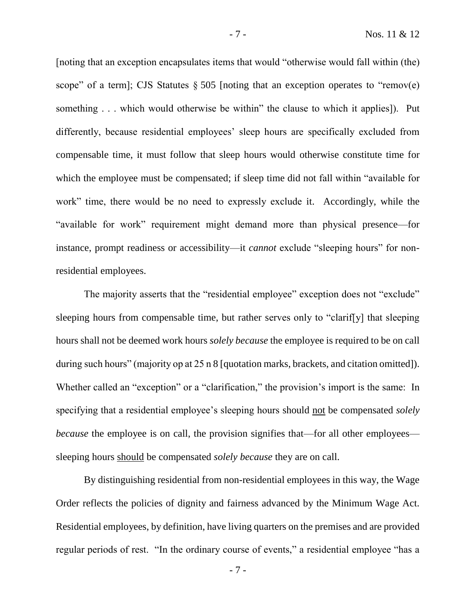[noting that an exception encapsulates items that would "otherwise would fall within (the) scope" of a term]; CJS Statutes  $\S 505$  [noting that an exception operates to "remov(e) something . . . which would otherwise be within" the clause to which it applies]). Put differently, because residential employees' sleep hours are specifically excluded from compensable time, it must follow that sleep hours would otherwise constitute time for which the employee must be compensated; if sleep time did not fall within "available for work" time, there would be no need to expressly exclude it. Accordingly, while the "available for work" requirement might demand more than physical presence—for instance, prompt readiness or accessibility—it *cannot* exclude "sleeping hours" for nonresidential employees.

The majority asserts that the "residential employee" exception does not "exclude" sleeping hours from compensable time, but rather serves only to "clarif[y] that sleeping hours shall not be deemed work hours *solely because* the employee is required to be on call during such hours" (majority op at 25 n 8 [quotation marks, brackets, and citation omitted]). Whether called an "exception" or a "clarification," the provision's import is the same: In specifying that a residential employee's sleeping hours should not be compensated *solely because* the employee is on call, the provision signifies that—for all other employees sleeping hours should be compensated *solely because* they are on call.

By distinguishing residential from non-residential employees in this way, the Wage Order reflects the policies of dignity and fairness advanced by the Minimum Wage Act. Residential employees, by definition, have living quarters on the premises and are provided regular periods of rest. "In the ordinary course of events," a residential employee "has a

- 7 -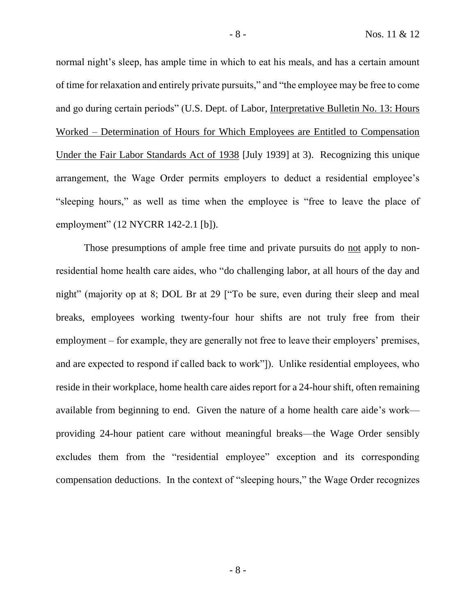normal night's sleep, has ample time in which to eat his meals, and has a certain amount of time for relaxation and entirely private pursuits," and "the employee may be free to come and go during certain periods" (U.S. Dept. of Labor, Interpretative Bulletin No. 13: Hours Worked – Determination of Hours for Which Employees are Entitled to Compensation Under the Fair Labor Standards Act of 1938 [July 1939] at 3). Recognizing this unique arrangement, the Wage Order permits employers to deduct a residential employee's "sleeping hours," as well as time when the employee is "free to leave the place of employment" (12 NYCRR 142-2.1 [b]).

Those presumptions of ample free time and private pursuits do not apply to nonresidential home health care aides, who "do challenging labor, at all hours of the day and night" (majority op at 8; DOL Br at 29 ["To be sure, even during their sleep and meal breaks, employees working twenty-four hour shifts are not truly free from their employment – for example, they are generally not free to leave their employers' premises, and are expected to respond if called back to work"]). Unlike residential employees, who reside in their workplace, home health care aides report for a 24-hour shift, often remaining available from beginning to end. Given the nature of a home health care aide's work providing 24-hour patient care without meaningful breaks—the Wage Order sensibly excludes them from the "residential employee" exception and its corresponding compensation deductions. In the context of "sleeping hours," the Wage Order recognizes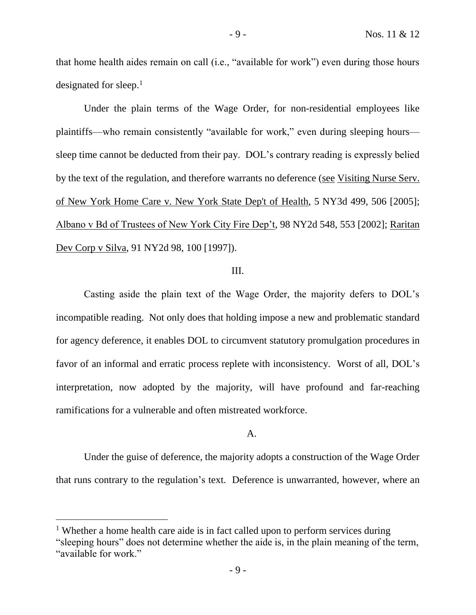that home health aides remain on call (i.e., "available for work") even during those hours designated for sleep.<sup>1</sup>

Under the plain terms of the Wage Order, for non-residential employees like plaintiffs—who remain consistently "available for work," even during sleeping hours sleep time cannot be deducted from their pay. DOL's contrary reading is expressly belied by the text of the regulation, and therefore warrants no deference (see Visiting Nurse Serv. of New York Home Care v. New York State Dep't of Health, 5 NY3d 499, 506 [2005]; Albano v Bd of Trustees of New York City Fire Dep't, 98 NY2d 548, 553 [2002]; Raritan Dev Corp v Silva, 91 NY2d 98, 100 [1997]).

# III.

Casting aside the plain text of the Wage Order, the majority defers to DOL's incompatible reading. Not only does that holding impose a new and problematic standard for agency deference, it enables DOL to circumvent statutory promulgation procedures in favor of an informal and erratic process replete with inconsistency. Worst of all, DOL's interpretation, now adopted by the majority, will have profound and far-reaching ramifications for a vulnerable and often mistreated workforce.

# A.

Under the guise of deference, the majority adopts a construction of the Wage Order that runs contrary to the regulation's text. Deference is unwarranted, however, where an

<sup>&</sup>lt;sup>1</sup> Whether a home health care aide is in fact called upon to perform services during "sleeping hours" does not determine whether the aide is, in the plain meaning of the term, "available for work."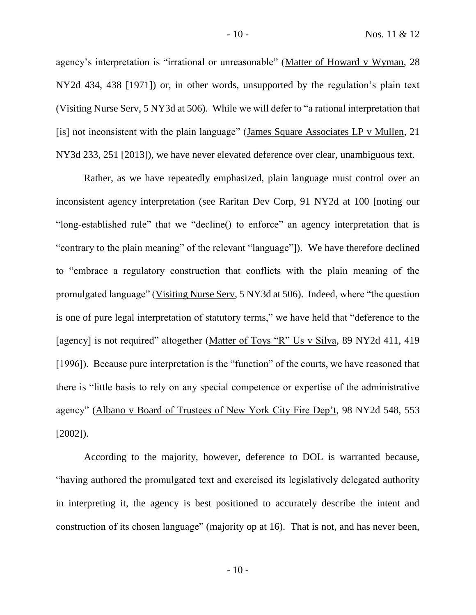agency's interpretation is "irrational or unreasonable" (Matter of Howard v Wyman, 28 NY2d 434, 438 [1971]) or, in other words, unsupported by the regulation's plain text (Visiting Nurse Serv, 5 NY3d at 506). While we will defer to "a rational interpretation that [is] not inconsistent with the plain language" (James Square Associates LP v Mullen, 21) NY3d 233, 251 [2013]), we have never elevated deference over clear, unambiguous text.

Rather, as we have repeatedly emphasized, plain language must control over an inconsistent agency interpretation (see Raritan Dev Corp, 91 NY2d at 100 [noting our "long-established rule" that we "decline() to enforce" an agency interpretation that is "contrary to the plain meaning" of the relevant "language"]). We have therefore declined to "embrace a regulatory construction that conflicts with the plain meaning of the promulgated language" (Visiting Nurse Serv, 5 NY3d at 506). Indeed, where "the question is one of pure legal interpretation of statutory terms," we have held that "deference to the [agency] is not required" altogether (Matter of Toys "R" Us v Silva, 89 NY2d 411, 419 [1996]). Because pure interpretation is the "function" of the courts, we have reasoned that there is "little basis to rely on any special competence or expertise of the administrative agency" (Albano v Board of Trustees of New York City Fire Dep't, 98 NY2d 548, 553 [2002]).

According to the majority, however, deference to DOL is warranted because, "having authored the promulgated text and exercised its legislatively delegated authority in interpreting it, the agency is best positioned to accurately describe the intent and construction of its chosen language" (majority op at 16). That is not, and has never been,

 $-10-$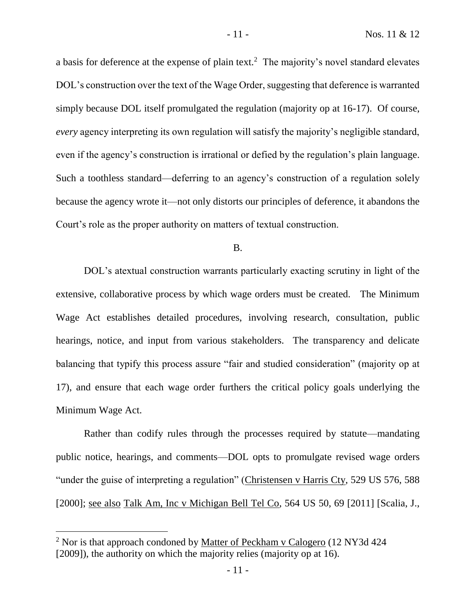a basis for deference at the expense of plain text.<sup>2</sup> The majority's novel standard elevates DOL's construction over the text of the Wage Order, suggesting that deference is warranted simply because DOL itself promulgated the regulation (majority op at 16-17). Of course, *every* agency interpreting its own regulation will satisfy the majority's negligible standard, even if the agency's construction is irrational or defied by the regulation's plain language. Such a toothless standard—deferring to an agency's construction of a regulation solely because the agency wrote it—not only distorts our principles of deference, it abandons the Court's role as the proper authority on matters of textual construction.

#### B.

DOL's atextual construction warrants particularly exacting scrutiny in light of the extensive, collaborative process by which wage orders must be created. The Minimum Wage Act establishes detailed procedures, involving research, consultation, public hearings, notice, and input from various stakeholders. The transparency and delicate balancing that typify this process assure "fair and studied consideration" (majority op at 17), and ensure that each wage order furthers the critical policy goals underlying the Minimum Wage Act.

Rather than codify rules through the processes required by statute—mandating public notice, hearings, and comments—DOL opts to promulgate revised wage orders "under the guise of interpreting a regulation" (Christensen v Harris Cty, 529 US 576, 588) [2000]; see also Talk Am, Inc v Michigan Bell Tel Co, 564 US 50, 69 [2011] [Scalia, J.,

<sup>&</sup>lt;sup>2</sup> Nor is that approach condoned by Matter of Peckham v Calogero (12 NY3d 424) [2009]), the authority on which the majority relies (majority op at 16).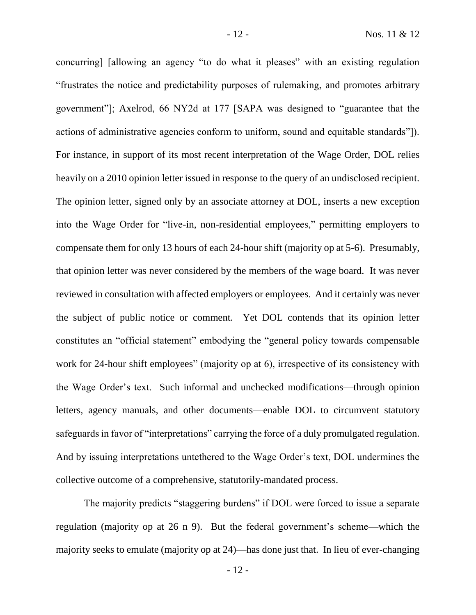concurring] [allowing an agency "to do what it pleases" with an existing regulation "frustrates the notice and predictability purposes of rulemaking, and promotes arbitrary government"]; Axelrod, 66 NY2d at 177 [SAPA was designed to "guarantee that the actions of administrative agencies conform to uniform, sound and equitable standards"]). For instance, in support of its most recent interpretation of the Wage Order, DOL relies heavily on a 2010 opinion letter issued in response to the query of an undisclosed recipient. The opinion letter, signed only by an associate attorney at DOL, inserts a new exception into the Wage Order for "live-in, non-residential employees," permitting employers to compensate them for only 13 hours of each 24-hour shift (majority op at 5-6). Presumably, that opinion letter was never considered by the members of the wage board. It was never reviewed in consultation with affected employers or employees. And it certainly was never the subject of public notice or comment. Yet DOL contends that its opinion letter constitutes an "official statement" embodying the "general policy towards compensable work for 24-hour shift employees" (majority op at 6), irrespective of its consistency with the Wage Order's text. Such informal and unchecked modifications—through opinion letters, agency manuals, and other documents—enable DOL to circumvent statutory safeguards in favor of "interpretations" carrying the force of a duly promulgated regulation. And by issuing interpretations untethered to the Wage Order's text, DOL undermines the collective outcome of a comprehensive, statutorily-mandated process.

The majority predicts "staggering burdens" if DOL were forced to issue a separate regulation (majority op at 26 n 9). But the federal government's scheme—which the majority seeks to emulate (majority op at 24)—has done just that. In lieu of ever-changing

- 12 -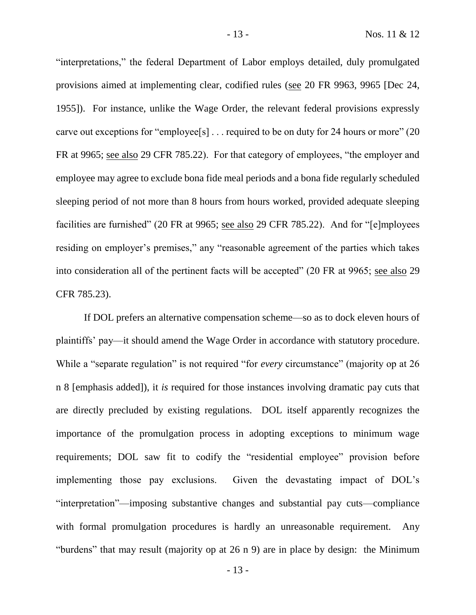"interpretations," the federal Department of Labor employs detailed, duly promulgated provisions aimed at implementing clear, codified rules (see 20 FR 9963, 9965 [Dec 24, 1955]). For instance, unlike the Wage Order, the relevant federal provisions expressly carve out exceptions for "employee[s] . . . required to be on duty for 24 hours or more" (20 FR at 9965; see also 29 CFR 785.22). For that category of employees, "the employer and employee may agree to exclude bona fide meal periods and a bona fide regularly scheduled sleeping period of not more than 8 hours from hours worked, provided adequate sleeping facilities are furnished" (20 FR at 9965; see also 29 CFR 785.22). And for "[e]mployees residing on employer's premises," any "reasonable agreement of the parties which takes into consideration all of the pertinent facts will be accepted" (20 FR at 9965; see also 29 CFR 785.23).

If DOL prefers an alternative compensation scheme—so as to dock eleven hours of plaintiffs' pay—it should amend the Wage Order in accordance with statutory procedure. While a "separate regulation" is not required "for *every* circumstance" (majority op at 26 n 8 [emphasis added]), it *is* required for those instances involving dramatic pay cuts that are directly precluded by existing regulations. DOL itself apparently recognizes the importance of the promulgation process in adopting exceptions to minimum wage requirements; DOL saw fit to codify the "residential employee" provision before implementing those pay exclusions. Given the devastating impact of DOL's "interpretation"—imposing substantive changes and substantial pay cuts—compliance with formal promulgation procedures is hardly an unreasonable requirement. Any "burdens" that may result (majority op at 26 n 9) are in place by design: the Minimum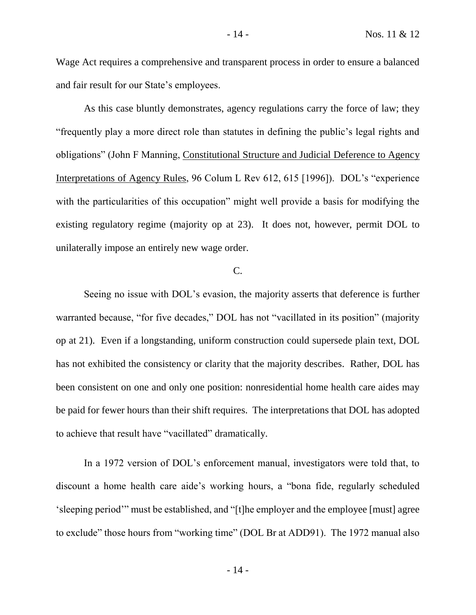Wage Act requires a comprehensive and transparent process in order to ensure a balanced and fair result for our State's employees.

As this case bluntly demonstrates, agency regulations carry the force of law; they "frequently play a more direct role than statutes in defining the public's legal rights and obligations" (John F Manning, Constitutional Structure and Judicial Deference to Agency Interpretations of Agency Rules, 96 Colum L Rev 612, 615 [1996]). DOL's "experience with the particularities of this occupation" might well provide a basis for modifying the existing regulatory regime (majority op at 23). It does not, however, permit DOL to unilaterally impose an entirely new wage order.

# C.

Seeing no issue with DOL's evasion, the majority asserts that deference is further warranted because, "for five decades," DOL has not "vacillated in its position" (majority op at 21). Even if a longstanding, uniform construction could supersede plain text, DOL has not exhibited the consistency or clarity that the majority describes. Rather, DOL has been consistent on one and only one position: nonresidential home health care aides may be paid for fewer hours than their shift requires. The interpretations that DOL has adopted to achieve that result have "vacillated" dramatically.

In a 1972 version of DOL's enforcement manual, investigators were told that, to discount a home health care aide's working hours, a "bona fide, regularly scheduled 'sleeping period'" must be established, and "[t]he employer and the employee [must] agree to exclude" those hours from "working time" (DOL Br at ADD91). The 1972 manual also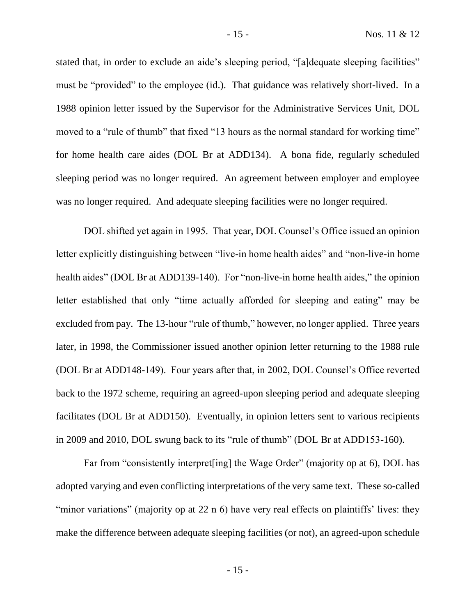stated that, in order to exclude an aide's sleeping period, "[a]dequate sleeping facilities" must be "provided" to the employee (id.). That guidance was relatively short-lived. In a 1988 opinion letter issued by the Supervisor for the Administrative Services Unit, DOL moved to a "rule of thumb" that fixed "13 hours as the normal standard for working time" for home health care aides (DOL Br at ADD134). A bona fide, regularly scheduled sleeping period was no longer required. An agreement between employer and employee was no longer required. And adequate sleeping facilities were no longer required.

DOL shifted yet again in 1995. That year, DOL Counsel's Office issued an opinion letter explicitly distinguishing between "live-in home health aides" and "non-live-in home health aides" (DOL Br at ADD139-140). For "non-live-in home health aides," the opinion letter established that only "time actually afforded for sleeping and eating" may be excluded from pay. The 13-hour "rule of thumb," however, no longer applied. Three years later, in 1998, the Commissioner issued another opinion letter returning to the 1988 rule (DOL Br at ADD148-149). Four years after that, in 2002, DOL Counsel's Office reverted back to the 1972 scheme, requiring an agreed-upon sleeping period and adequate sleeping facilitates (DOL Br at ADD150). Eventually, in opinion letters sent to various recipients in 2009 and 2010, DOL swung back to its "rule of thumb" (DOL Br at ADD153-160).

Far from "consistently interpret[ing] the Wage Order" (majority op at 6), DOL has adopted varying and even conflicting interpretations of the very same text. These so-called "minor variations" (majority op at 22 n 6) have very real effects on plaintiffs' lives: they make the difference between adequate sleeping facilities (or not), an agreed-upon schedule

- 15 -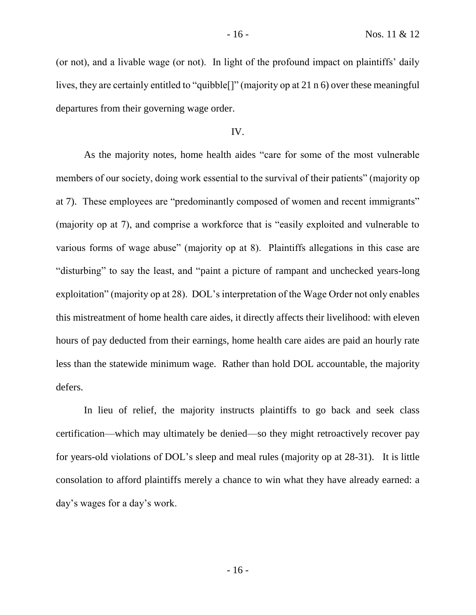(or not), and a livable wage (or not). In light of the profound impact on plaintiffs' daily lives, they are certainly entitled to "quibble[]" (majority op at 21 n 6) over these meaningful departures from their governing wage order.

#### IV.

As the majority notes, home health aides "care for some of the most vulnerable members of our society, doing work essential to the survival of their patients" (majority op at 7). These employees are "predominantly composed of women and recent immigrants" (majority op at 7), and comprise a workforce that is "easily exploited and vulnerable to various forms of wage abuse" (majority op at 8). Plaintiffs allegations in this case are "disturbing" to say the least, and "paint a picture of rampant and unchecked years-long exploitation" (majority op at 28). DOL's interpretation of the Wage Order not only enables this mistreatment of home health care aides, it directly affects their livelihood: with eleven hours of pay deducted from their earnings, home health care aides are paid an hourly rate less than the statewide minimum wage. Rather than hold DOL accountable, the majority defers.

In lieu of relief, the majority instructs plaintiffs to go back and seek class certification—which may ultimately be denied—so they might retroactively recover pay for years-old violations of DOL's sleep and meal rules (majority op at 28-31). It is little consolation to afford plaintiffs merely a chance to win what they have already earned: a day's wages for a day's work.